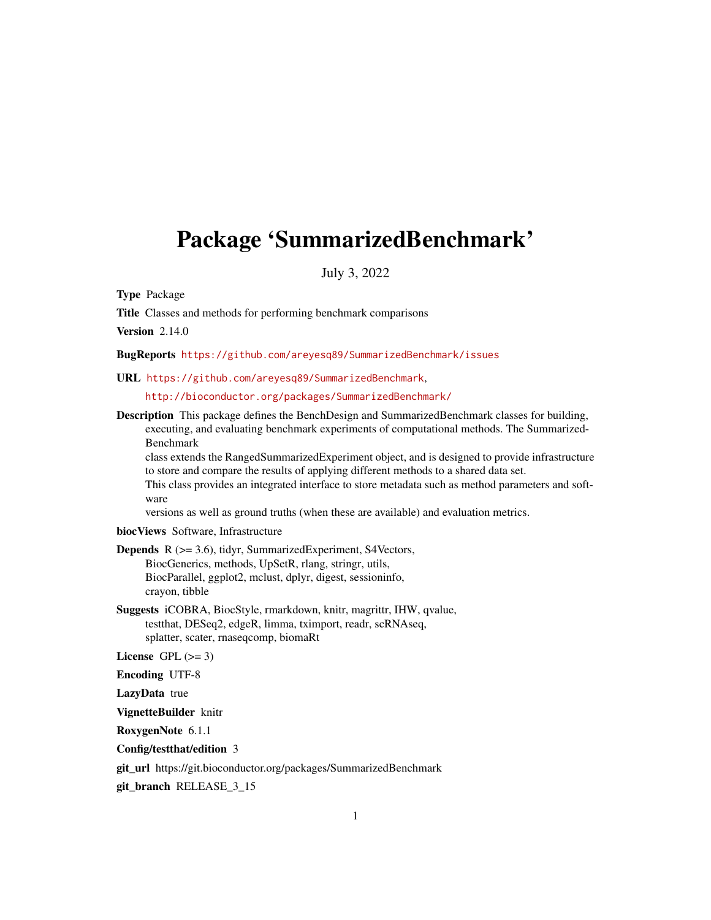## <span id="page-0-0"></span>Package 'SummarizedBenchmark'

July 3, 2022

Type Package

Title Classes and methods for performing benchmark comparisons

**Version 2.14.0** 

BugReports <https://github.com/areyesq89/SummarizedBenchmark/issues>

URL <https://github.com/areyesq89/SummarizedBenchmark>,

<http://bioconductor.org/packages/SummarizedBenchmark/>

Description This package defines the BenchDesign and SummarizedBenchmark classes for building, executing, and evaluating benchmark experiments of computational methods. The Summarized-Benchmark

class extends the RangedSummarizedExperiment object, and is designed to provide infrastructure to store and compare the results of applying different methods to a shared data set.

This class provides an integrated interface to store metadata such as method parameters and software

versions as well as ground truths (when these are available) and evaluation metrics.

biocViews Software, Infrastructure

- Depends R (>= 3.6), tidyr, SummarizedExperiment, S4Vectors, BiocGenerics, methods, UpSetR, rlang, stringr, utils, BiocParallel, ggplot2, mclust, dplyr, digest, sessioninfo, crayon, tibble
- Suggests iCOBRA, BiocStyle, rmarkdown, knitr, magrittr, IHW, qvalue, testthat, DESeq2, edgeR, limma, tximport, readr, scRNAseq, splatter, scater, rnaseqcomp, biomaRt

License GPL  $(>= 3)$ 

Encoding UTF-8

LazyData true

VignetteBuilder knitr

RoxygenNote 6.1.1

Config/testthat/edition 3

git\_url https://git.bioconductor.org/packages/SummarizedBenchmark

git\_branch RELEASE\_3\_15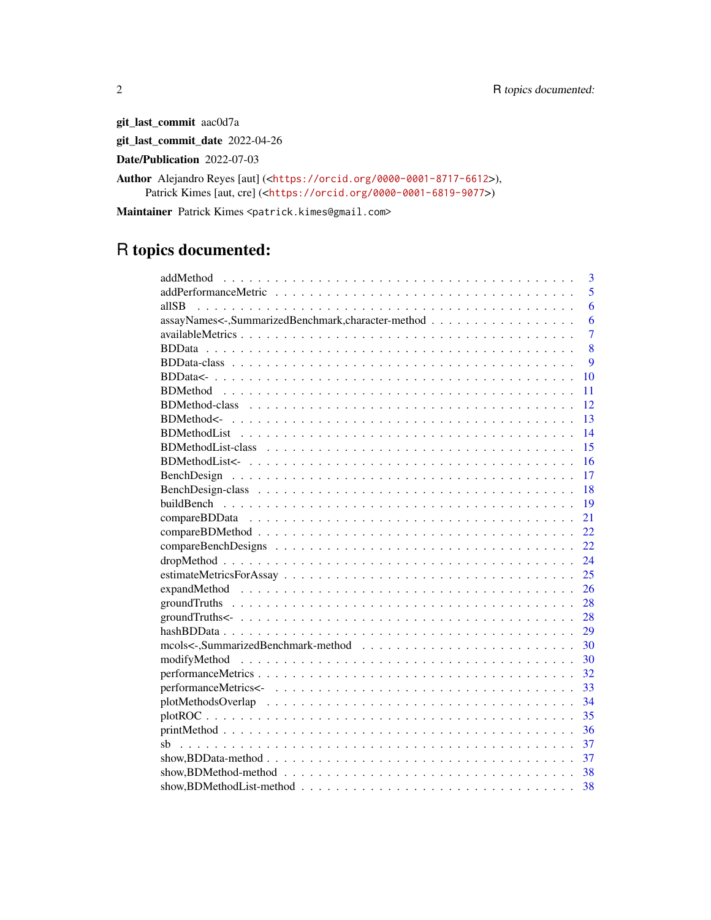git\_last\_commit aac0d7a

git\_last\_commit\_date 2022-04-26

Date/Publication 2022-07-03

Author Alejandro Reyes [aut] (<<https://orcid.org/0000-0001-8717-6612>>), Patrick Kimes [aut, cre] (<<https://orcid.org/0000-0001-6819-9077>>)

Maintainer Patrick Kimes <patrick.kimes@gmail.com>

## R topics documented:

| 3                                                                                                                         |
|---------------------------------------------------------------------------------------------------------------------------|
| 5                                                                                                                         |
| 6<br>allSB                                                                                                                |
| assayNames<-,SummarizedBenchmark,character-method<br>6                                                                    |
| $\overline{7}$                                                                                                            |
| 8                                                                                                                         |
| 9                                                                                                                         |
| 10                                                                                                                        |
| 11                                                                                                                        |
| 12                                                                                                                        |
| 13                                                                                                                        |
| 14                                                                                                                        |
| 15                                                                                                                        |
| 16                                                                                                                        |
| 17                                                                                                                        |
| 18                                                                                                                        |
| 19                                                                                                                        |
| 21                                                                                                                        |
| 22                                                                                                                        |
| 22                                                                                                                        |
| 24                                                                                                                        |
| 25                                                                                                                        |
| 26                                                                                                                        |
| 28                                                                                                                        |
| 28                                                                                                                        |
| 29                                                                                                                        |
| 30                                                                                                                        |
| 30                                                                                                                        |
| 32                                                                                                                        |
| 33                                                                                                                        |
| 34                                                                                                                        |
| 35                                                                                                                        |
| 36                                                                                                                        |
| 37                                                                                                                        |
| 37                                                                                                                        |
| $show, BDMethod - method \dots \dots \dots \dots \dots \dots \dots \dots \dots \dots \dots \dots \dots \dots \dots$<br>38 |
| 38                                                                                                                        |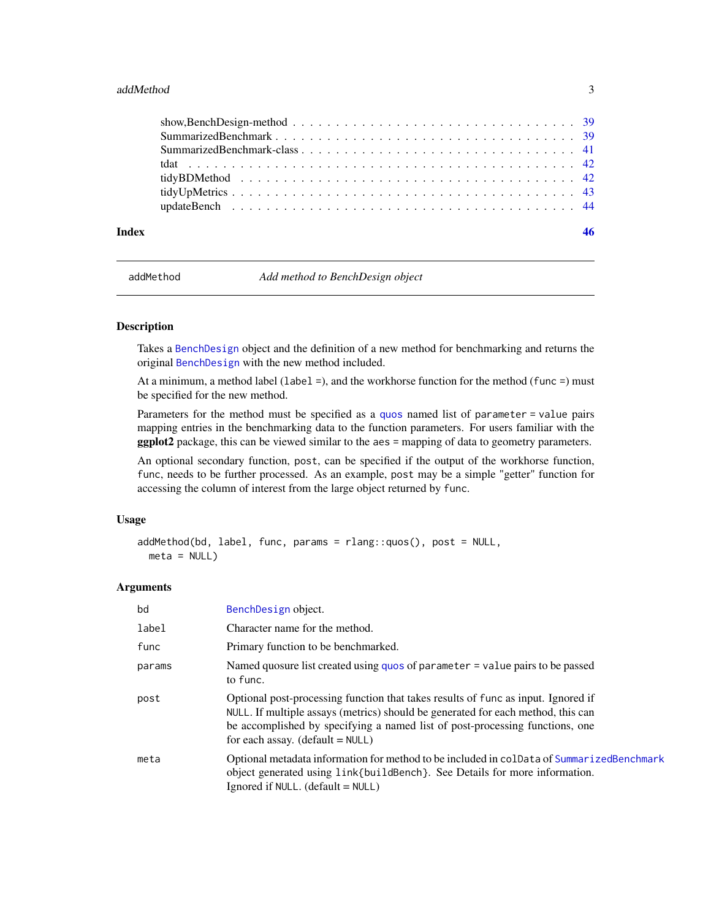#### <span id="page-2-0"></span>addMethod 3

| Index |                                                                                                                    |  |
|-------|--------------------------------------------------------------------------------------------------------------------|--|
|       |                                                                                                                    |  |
|       |                                                                                                                    |  |
|       |                                                                                                                    |  |
|       |                                                                                                                    |  |
|       |                                                                                                                    |  |
|       |                                                                                                                    |  |
|       | show, Bench Design-method $\ldots \ldots \ldots \ldots \ldots \ldots \ldots \ldots \ldots \ldots \ldots \ldots$ 39 |  |

addMethod *Add method to BenchDesign object*

## Description

Takes a [BenchDesign](#page-17-1) object and the definition of a new method for benchmarking and returns the original [BenchDesign](#page-17-1) with the new method included.

At a minimum, a method label (label  $=$ ), and the workhorse function for the method (func  $=$ ) must be specified for the new method.

Parameters for the method must be specified as a [quos](#page-0-0) named list of parameter = value pairs mapping entries in the benchmarking data to the function parameters. For users familiar with the ggplot2 package, this can be viewed similar to the aes = mapping of data to geometry parameters.

An optional secondary function, post, can be specified if the output of the workhorse function, func, needs to be further processed. As an example, post may be a simple "getter" function for accessing the column of interest from the large object returned by func.

### Usage

```
addMethod(bd, label, func, params = rlang::quos(), post = NULL,meta = NULL)
```
## Arguments

| bd     | BenchDesign object.                                                                                                                                                                                                                                                                         |
|--------|---------------------------------------------------------------------------------------------------------------------------------------------------------------------------------------------------------------------------------------------------------------------------------------------|
| label  | Character name for the method.                                                                                                                                                                                                                                                              |
| func   | Primary function to be benchmarked.                                                                                                                                                                                                                                                         |
| params | Named quosure list created using quos of parameter $=$ value pairs to be passed<br>to func.                                                                                                                                                                                                 |
| post   | Optional post-processing function that takes results of func as input. Ignored if<br>NULL. If multiple assays (metrics) should be generated for each method, this can<br>be accomplished by specifying a named list of post-processing functions, one<br>for each assay. $(default = NULL)$ |
| meta   | Optional metadata information for method to be included in colData of SummarizedBenchmark<br>object generated using link{buildBench}. See Details for more information.<br>Ignored if NULL. (default $=$ NULL)                                                                              |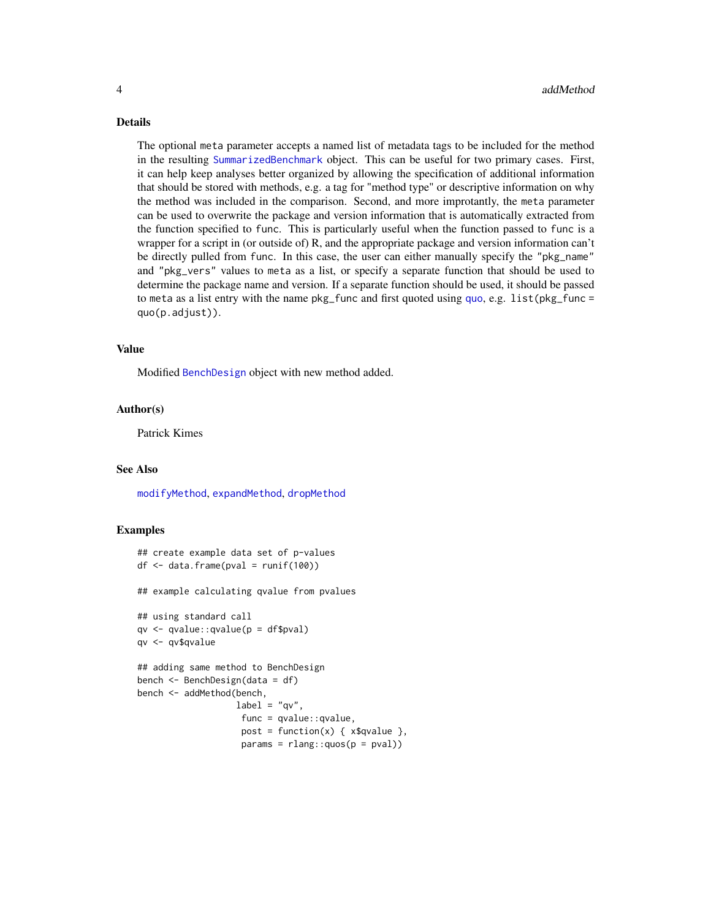#### <span id="page-3-0"></span>Details

The optional meta parameter accepts a named list of metadata tags to be included for the method in the resulting [SummarizedBenchmark](#page-40-1) object. This can be useful for two primary cases. First, it can help keep analyses better organized by allowing the specification of additional information that should be stored with methods, e.g. a tag for "method type" or descriptive information on why the method was included in the comparison. Second, and more improtantly, the meta parameter can be used to overwrite the package and version information that is automatically extracted from the function specified to func. This is particularly useful when the function passed to func is a wrapper for a script in (or outside of) R, and the appropriate package and version information can't be directly pulled from func. In this case, the user can either manually specify the "pkg\_name" and "pkg\_vers" values to meta as a list, or specify a separate function that should be used to determine the package name and version. If a separate function should be used, it should be passed to meta as a list entry with the name  $pkg$ -func and first [quo](#page-0-0)ted using quo, e.g. list( $pkg$ -func = quo(p.adjust)).

#### Value

Modified [BenchDesign](#page-17-1) object with new method added.

#### Author(s)

Patrick Kimes

#### See Also

[modifyMethod](#page-29-1), [expandMethod](#page-25-1), [dropMethod](#page-23-1)

```
## create example data set of p-values
df \leftarrow data . frame(pval = runif(100))## example calculating qvalue from pvalues
## using standard call
qv <- qvalue::qvalue(p = df$pval)
qv <- qv$qvalue
## adding same method to BenchDesign
bench <- BenchDesign(data = df)
bench <- addMethod(bench,
                   label = "qv",func = qvalue::qvalue,
                    post = function(x) { x$qvalue },
                    params = rlang::quos(p = pval))
```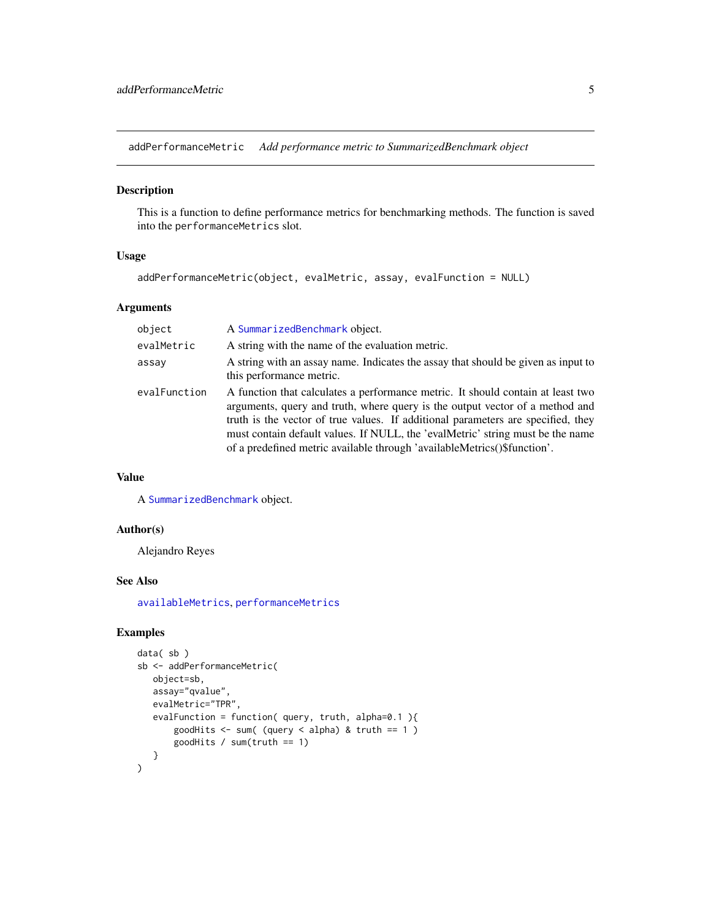<span id="page-4-1"></span><span id="page-4-0"></span>addPerformanceMetric *Add performance metric to SummarizedBenchmark object*

## Description

This is a function to define performance metrics for benchmarking methods. The function is saved into the performanceMetrics slot.

## Usage

```
addPerformanceMetric(object, evalMetric, assay, evalFunction = NULL)
```
## Arguments

| object       | A SummarizedBenchmark object.                                                                                                                                                                                                                                                                                                                                                                                     |
|--------------|-------------------------------------------------------------------------------------------------------------------------------------------------------------------------------------------------------------------------------------------------------------------------------------------------------------------------------------------------------------------------------------------------------------------|
| evalMetric   | A string with the name of the evaluation metric.                                                                                                                                                                                                                                                                                                                                                                  |
| assay        | A string with an assay name. Indicates the assay that should be given as input to<br>this performance metric.                                                                                                                                                                                                                                                                                                     |
| evalFunction | A function that calculates a performance metric. It should contain at least two<br>arguments, query and truth, where query is the output vector of a method and<br>truth is the vector of true values. If additional parameters are specified, they<br>must contain default values. If NULL, the 'evalMetric' string must be the name<br>of a predefined metric available through 'availableMetrics()\$function'. |

## Value

A [SummarizedBenchmark](#page-40-1) object.

#### Author(s)

Alejandro Reyes

## See Also

[availableMetrics](#page-6-1), [performanceMetrics](#page-31-1)

```
data( sb )
sb <- addPerformanceMetric(
   object=sb,
   assay="qvalue",
   evalMetric="TPR",
   evalFunction = function( query, truth, alpha=0.1 ){
       goodHits \leq sum( (query \leq alpha) & truth == 1 )
       goodHits / sum(truth == 1)
   }
\mathcal{L}
```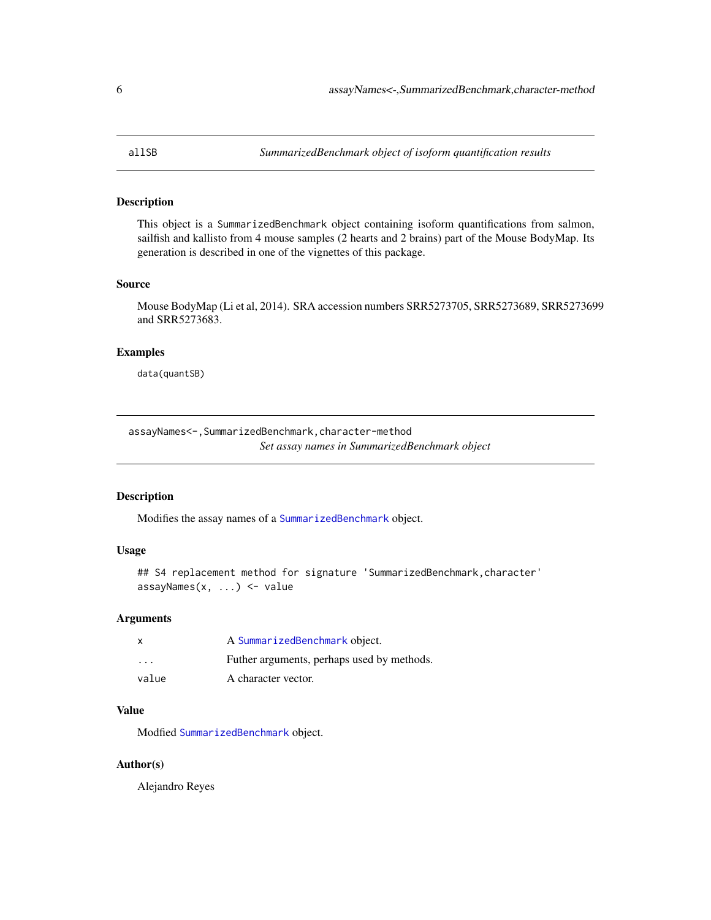<span id="page-5-0"></span>

This object is a SummarizedBenchmark object containing isoform quantifications from salmon, sailfish and kallisto from 4 mouse samples (2 hearts and 2 brains) part of the Mouse BodyMap. Its generation is described in one of the vignettes of this package.

#### Source

Mouse BodyMap (Li et al, 2014). SRA accession numbers SRR5273705, SRR5273689, SRR5273699 and SRR5273683.

## Examples

data(quantSB)

assayNames<-,SummarizedBenchmark,character-method *Set assay names in SummarizedBenchmark object*

#### Description

Modifies the assay names of a [SummarizedBenchmark](#page-40-1) object.

## Usage

```
## S4 replacement method for signature 'SummarizedBenchmark, character'
assayNames(x, ...) <- value
```
#### Arguments

| X       | A SummarizedBenchmark object.              |
|---------|--------------------------------------------|
| $\cdot$ | Futher arguments, perhaps used by methods. |
| value   | A character vector.                        |

## Value

Modfied [SummarizedBenchmark](#page-40-1) object.

#### Author(s)

Alejandro Reyes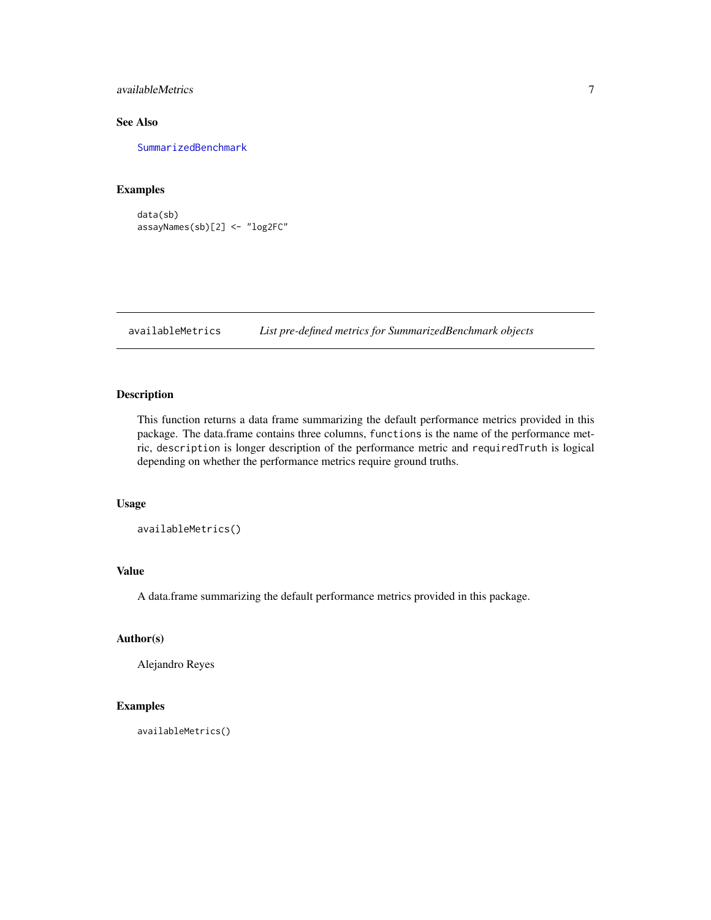<span id="page-6-0"></span>availableMetrics 7

## See Also

[SummarizedBenchmark](#page-40-1)

## Examples

data(sb) assayNames(sb)[2] <- "log2FC"

<span id="page-6-1"></span>availableMetrics *List pre-defined metrics for SummarizedBenchmark objects*

#### Description

This function returns a data frame summarizing the default performance metrics provided in this package. The data.frame contains three columns, functions is the name of the performance metric, description is longer description of the performance metric and requiredTruth is logical depending on whether the performance metrics require ground truths.

#### Usage

availableMetrics()

## Value

A data.frame summarizing the default performance metrics provided in this package.

## Author(s)

Alejandro Reyes

## Examples

availableMetrics()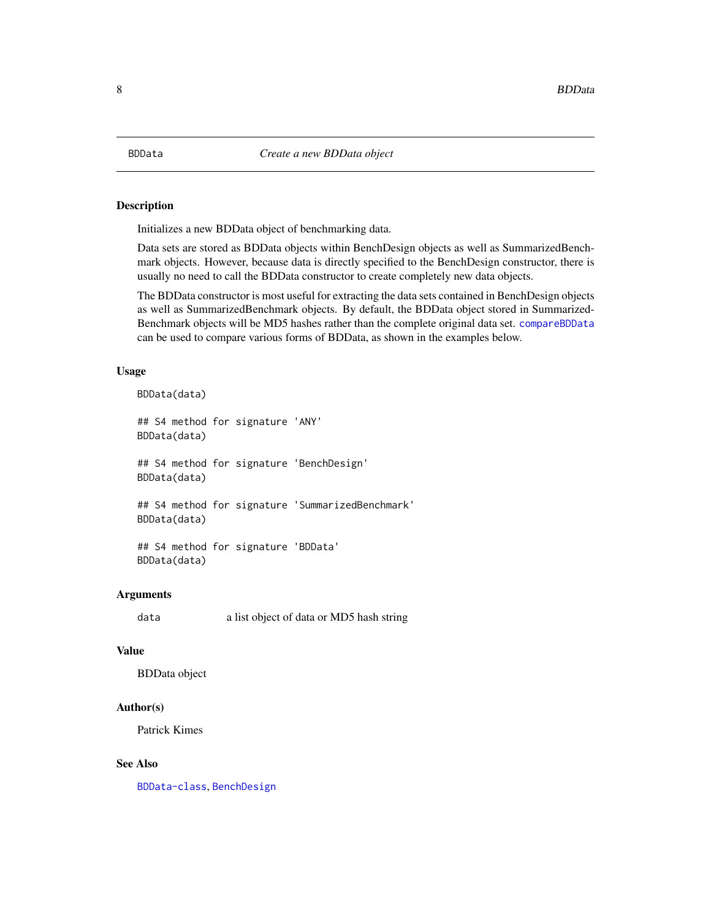<span id="page-7-1"></span><span id="page-7-0"></span>

Initializes a new BDData object of benchmarking data.

Data sets are stored as BDData objects within BenchDesign objects as well as SummarizedBenchmark objects. However, because data is directly specified to the BenchDesign constructor, there is usually no need to call the BDData constructor to create completely new data objects.

The BDData constructor is most useful for extracting the data sets contained in BenchDesign objects as well as SummarizedBenchmark objects. By default, the BDData object stored in Summarized-Benchmark objects will be MD5 hashes rather than the complete original data set. [compareBDData](#page-20-1) can be used to compare various forms of BDData, as shown in the examples below.

#### Usage

BDData(data)

## S4 method for signature 'ANY' BDData(data) ## S4 method for signature 'BenchDesign' BDData(data) ## S4 method for signature 'SummarizedBenchmark'

BDData(data)

## S4 method for signature 'BDData' BDData(data)

#### Arguments

data a list object of data or MD5 hash string

#### Value

BDData object

#### Author(s)

Patrick Kimes

#### See Also

[BDData-class](#page-8-1), [BenchDesign](#page-16-1)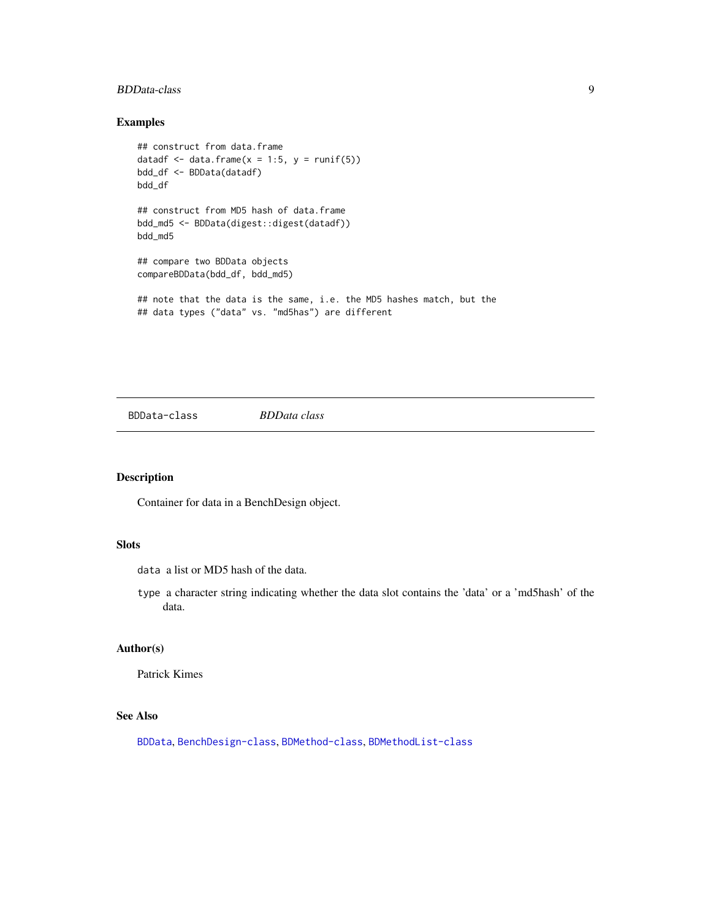## <span id="page-8-0"></span>BDData-class 9

## Examples

```
## construct from data.frame
datadf \le data.frame(x = 1:5, y = runif(5))
bdd_df <- BDData(datadf)
bdd_df
## construct from MD5 hash of data.frame
bdd_md5 <- BDData(digest::digest(datadf))
bdd_md5
## compare two BDData objects
compareBDData(bdd_df, bdd_md5)
## note that the data is the same, i.e. the MD5 hashes match, but the
## data types ("data" vs. "md5has") are different
```
<span id="page-8-1"></span>BDData-class *BDData class*

## Description

Container for data in a BenchDesign object.

## Slots

data a list or MD5 hash of the data.

type a character string indicating whether the data slot contains the 'data' or a 'md5hash' of the data.

## Author(s)

Patrick Kimes

## See Also

[BDData](#page-7-1), [BenchDesign-class](#page-17-1), [BDMethod-class](#page-11-1), [BDMethodList-class](#page-14-1)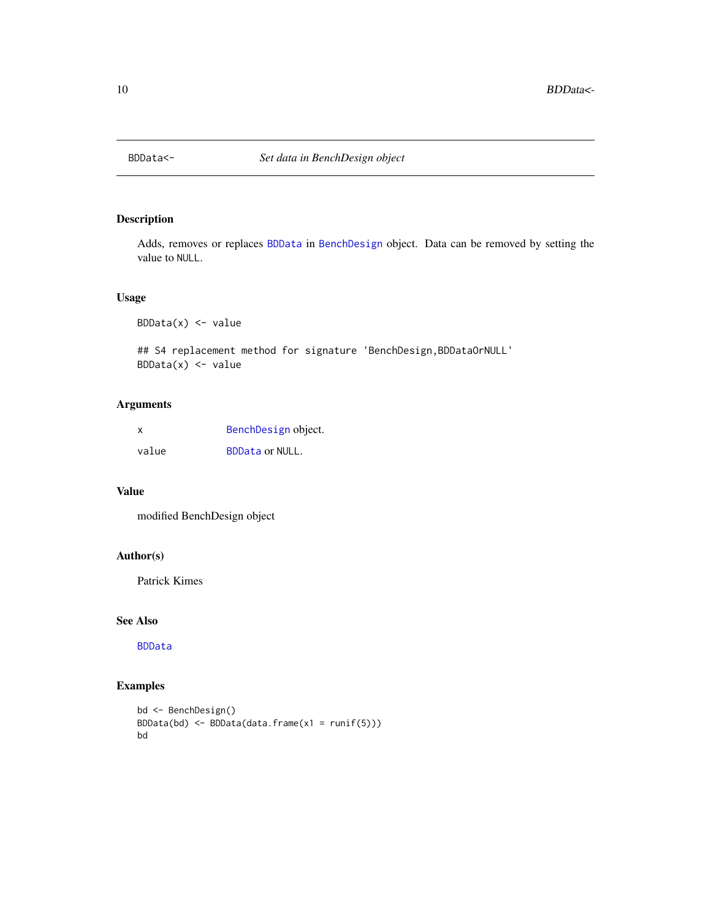<span id="page-9-0"></span>

Adds, removes or replaces [BDData](#page-8-1) in [BenchDesign](#page-17-1) object. Data can be removed by setting the value to NULL.

#### Usage

 $BDData(x)$  <- value

## S4 replacement method for signature 'BenchDesign,BDDataOrNULL'  $BDData(x)$  <- value

## Arguments

| X     | BenchDesign object.    |
|-------|------------------------|
| value | <b>BDData or NULL.</b> |

## Value

modified BenchDesign object

## Author(s)

Patrick Kimes

## See Also

[BDData](#page-7-1)

```
bd <- BenchDesign()
BDData(bd) <- BDData(data.frame(x1 = runif(5)))
bd
```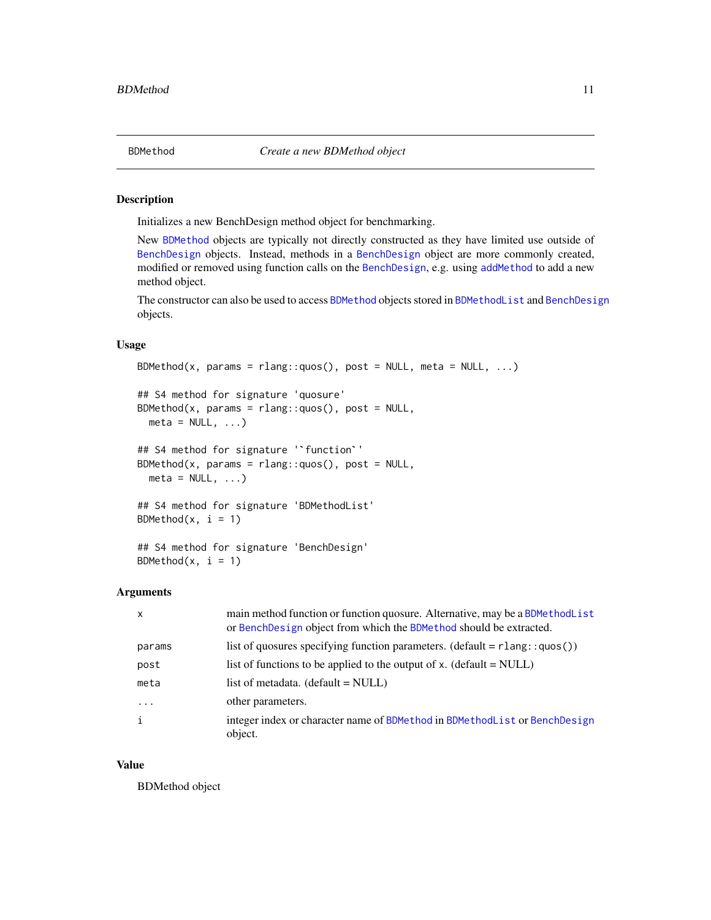<span id="page-10-1"></span><span id="page-10-0"></span>

Initializes a new BenchDesign method object for benchmarking.

New [BDMethod](#page-11-1) objects are typically not directly constructed as they have limited use outside of [BenchDesign](#page-17-1) objects. Instead, methods in a [BenchDesign](#page-17-1) object are more commonly created, modified or removed using function calls on the [BenchDesign](#page-17-1), e.g. using [addMethod](#page-2-1) to add a new method object.

The constructor can also be used to access [BDMethod](#page-11-1) objects stored in [BDMethodList](#page-14-1) and [BenchDesign](#page-17-1) objects.

#### Usage

```
BDMethod(x, params = rlang::quos(), post = NULL, meta = NULL, ...)## S4 method for signature 'quosure'
BDMethod(x, params = rlang::quos(), post = NULL,
## S4 method for signature '`function`'
  meta = NULL, ...)BDMethod(x, params = rlang::quos(), post = NULL,
  meta = NULL, ...)## S4 method for signature 'BDMethodList'
BDMethod(x, i = 1)## S4 method for signature 'BenchDesign'
BDMethod(x, i = 1)
```
#### Arguments

| $\times$ | main method function or function quosure. Alternative, may be a BDMethod List<br>or BenchDesign object from which the BDMethod should be extracted. |
|----------|-----------------------------------------------------------------------------------------------------------------------------------------------------|
| params   | list of quosures specifying function parameters. (default = $rlang::quos()$ )                                                                       |
| post     | list of functions to be applied to the output of x. (default $=$ NULL)                                                                              |
| meta     | list of metadata. $(default = NULL)$                                                                                                                |
| $\cdots$ | other parameters.                                                                                                                                   |
|          | integer index or character name of BDMethod in BDMethodList or BenchDesign<br>object.                                                               |

#### Value

BDMethod object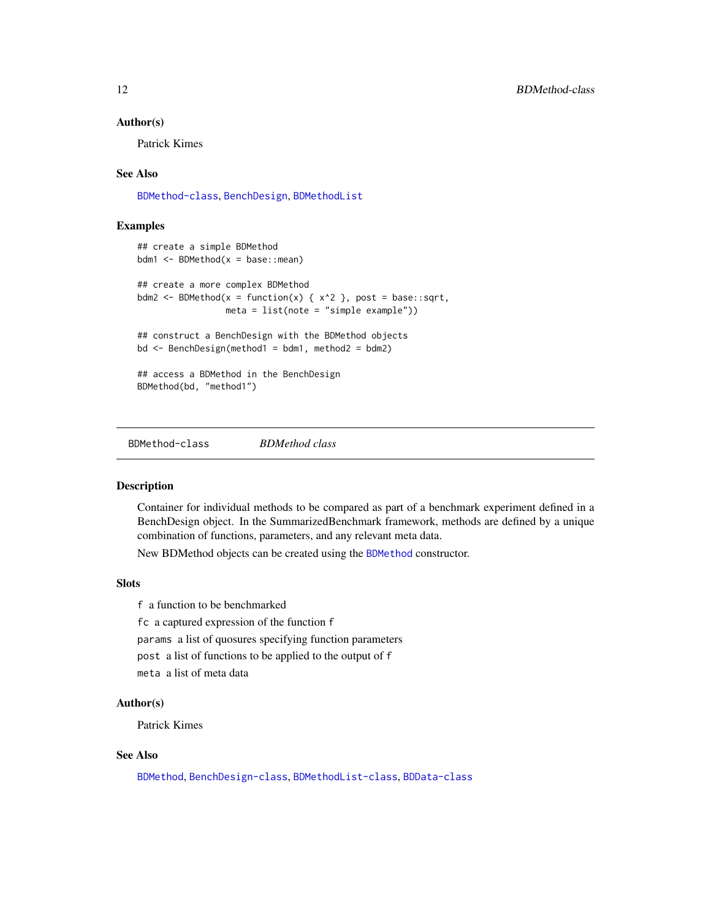#### <span id="page-11-0"></span>Author(s)

Patrick Kimes

#### See Also

[BDMethod-class](#page-11-1), [BenchDesign](#page-16-1), [BDMethodList](#page-13-1)

## Examples

```
## create a simple BDMethod
bdm1 <- BDMethod(x = base::mean)
## create a more complex BDMethod
bdm2 <- BDMethod(x = function(x) { x^2 }, post = base::sqrt,
                meta = list(note = "simple example")## construct a BenchDesign with the BDMethod objects
bd <- BenchDesign(method1 = bdm1, method2 = bdm2)
## access a BDMethod in the BenchDesign
BDMethod(bd, "method1")
```
<span id="page-11-1"></span>BDMethod-class *BDMethod class*

## Description

Container for individual methods to be compared as part of a benchmark experiment defined in a BenchDesign object. In the SummarizedBenchmark framework, methods are defined by a unique combination of functions, parameters, and any relevant meta data.

New BDMethod objects can be created using the [BDMethod](#page-10-1) constructor.

#### **Slots**

f a function to be benchmarked fc a captured expression of the function f params a list of quosures specifying function parameters post a list of functions to be applied to the output of f meta a list of meta data

#### Author(s)

Patrick Kimes

## See Also

[BDMethod](#page-10-1), [BenchDesign-class](#page-17-1), [BDMethodList-class](#page-14-1), [BDData-class](#page-8-1)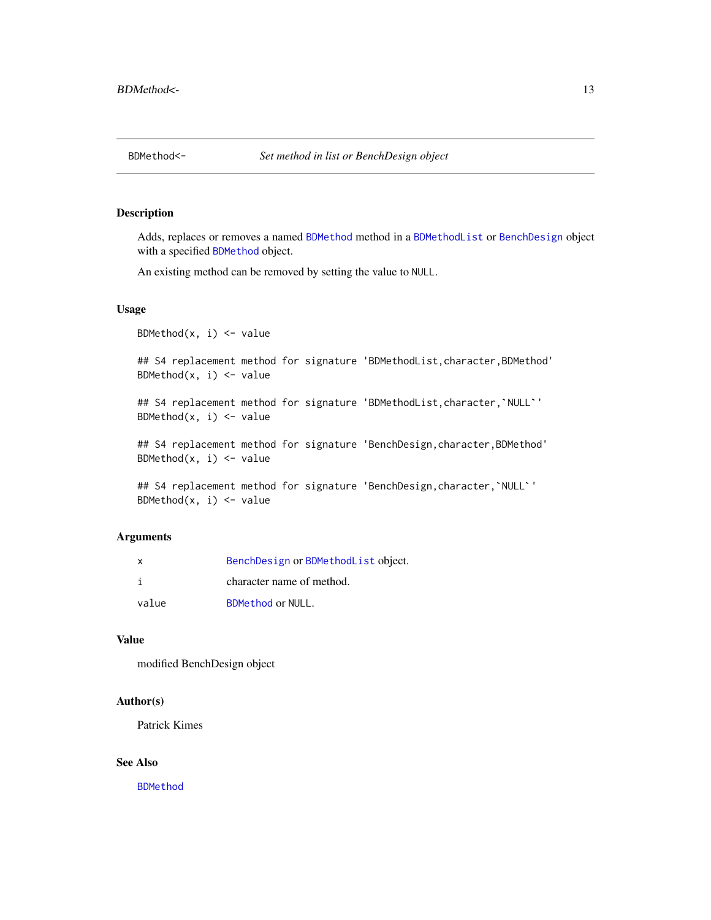<span id="page-12-0"></span>

Adds, replaces or removes a named [BDMethod](#page-11-1) method in a [BDMethodList](#page-14-1) or [BenchDesign](#page-17-1) object with a specified [BDMethod](#page-11-1) object.

An existing method can be removed by setting the value to NULL.

#### Usage

BDMethod $(x, i)$  <- value

## S4 replacement method for signature 'BDMethodList,character,BDMethod' ## S4 replacement method for signature 'BDMethodList,character,`NULL`' BDMethod $(x, i)$  <- value

BDMethod $(x, i)$  <- value

## S4 replacement method for signature 'BenchDesign,character,BDMethod' BDMethod $(x, i)$  <- value

```
## S4 replacement method for signature 'BenchDesign, character, `NULL`'
BDMethod(x, i) <- value
```
## Arguments

| X     | BenchDesign or BDMethodList object. |
|-------|-------------------------------------|
|       | character name of method.           |
| value | <b>BDMethod or NULL.</b>            |

## Value

modified BenchDesign object

#### Author(s)

Patrick Kimes

#### See Also

[BDMethod](#page-10-1)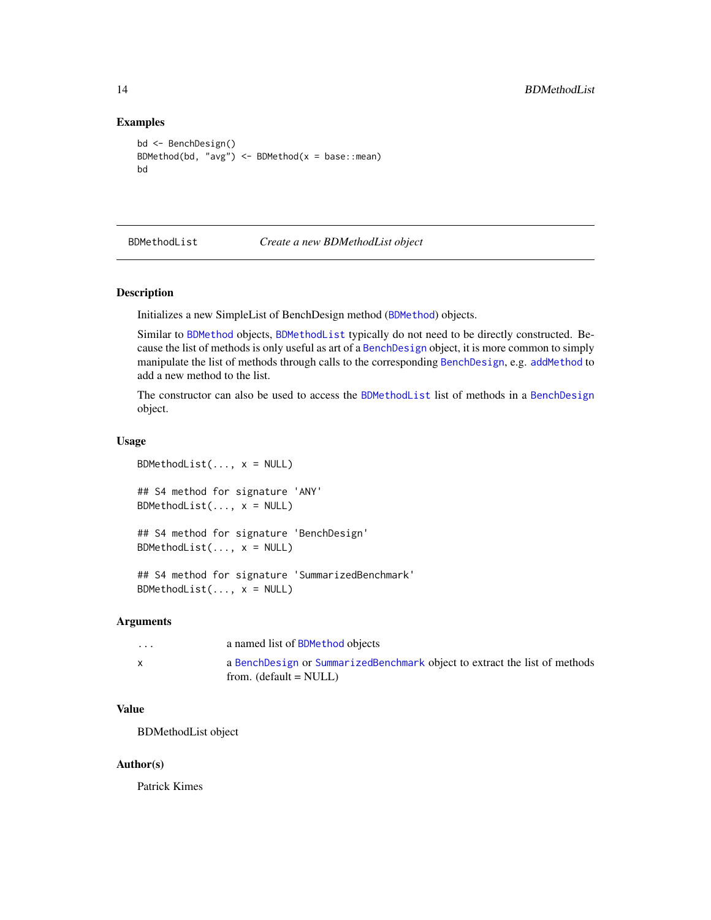#### Examples

```
bd <- BenchDesign()
BDMethod(bd, "avg") \leq BDMethod(x = base::mean)
bd
```
<span id="page-13-1"></span>

BDMethodList *Create a new BDMethodList object*

#### Description

Initializes a new SimpleList of BenchDesign method ([BDMethod](#page-11-1)) objects.

Similar to [BDMethod](#page-11-1) objects, [BDMethodList](#page-14-1) typically do not need to be directly constructed. Because the list of methods is only useful as art of a [BenchDesign](#page-17-1) object, it is more common to simply manipulate the list of methods through calls to the corresponding [BenchDesign](#page-17-1), e.g. [addMethod](#page-2-1) to add a new method to the list.

The constructor can also be used to access the [BDMethodList](#page-14-1) list of methods in a [BenchDesign](#page-17-1) object.

#### Usage

```
BDMethodList(..., x = NULL)## S4 method for signature 'ANY'
BDMethodList(..., x = NULL)## S4 method for signature 'BenchDesign'
BDMethodList(..., x = NULL)## S4 method for signature 'SummarizedBenchmark'
BDMethodList(..., x = NULL)
```
#### Arguments

| $\cdots$     | a named list of BDMethod objects                                                                       |
|--------------|--------------------------------------------------------------------------------------------------------|
| $\mathsf{x}$ | a BenchDesign or SummarizedBenchmark object to extract the list of methods<br>from. $(default = NULL)$ |

## Value

BDMethodList object

#### Author(s)

Patrick Kimes

<span id="page-13-0"></span>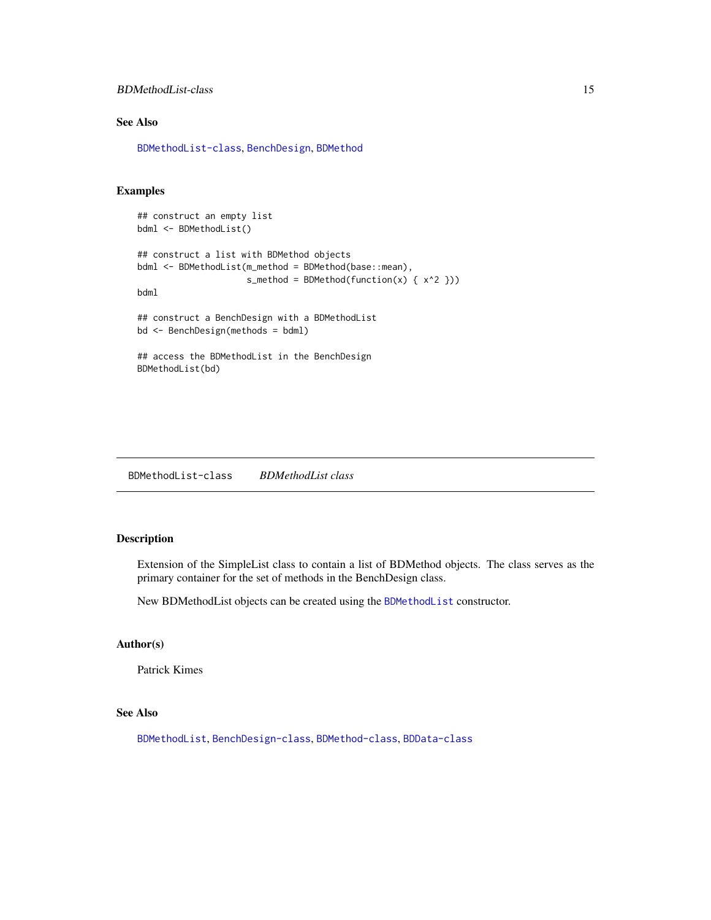## <span id="page-14-0"></span>BDMethodList-class 15

## See Also

[BDMethodList-class](#page-14-1), [BenchDesign](#page-16-1), [BDMethod](#page-10-1)

## Examples

```
## construct an empty list
bdml <- BDMethodList()
## construct a list with BDMethod objects
bdml <- BDMethodList(m_method = BDMethod(base::mean),
                     s_method = BDMethod(function(x) { x^2 }))
bdml
## construct a BenchDesign with a BDMethodList
bd <- BenchDesign(methods = bdml)
## access the BDMethodList in the BenchDesign
BDMethodList(bd)
```
<span id="page-14-1"></span>BDMethodList-class *BDMethodList class*

## Description

Extension of the SimpleList class to contain a list of BDMethod objects. The class serves as the primary container for the set of methods in the BenchDesign class.

New BDMethodList objects can be created using the [BDMethodList](#page-13-1) constructor.

## Author(s)

Patrick Kimes

## See Also

[BDMethodList](#page-13-1), [BenchDesign-class](#page-17-1), [BDMethod-class](#page-11-1), [BDData-class](#page-8-1)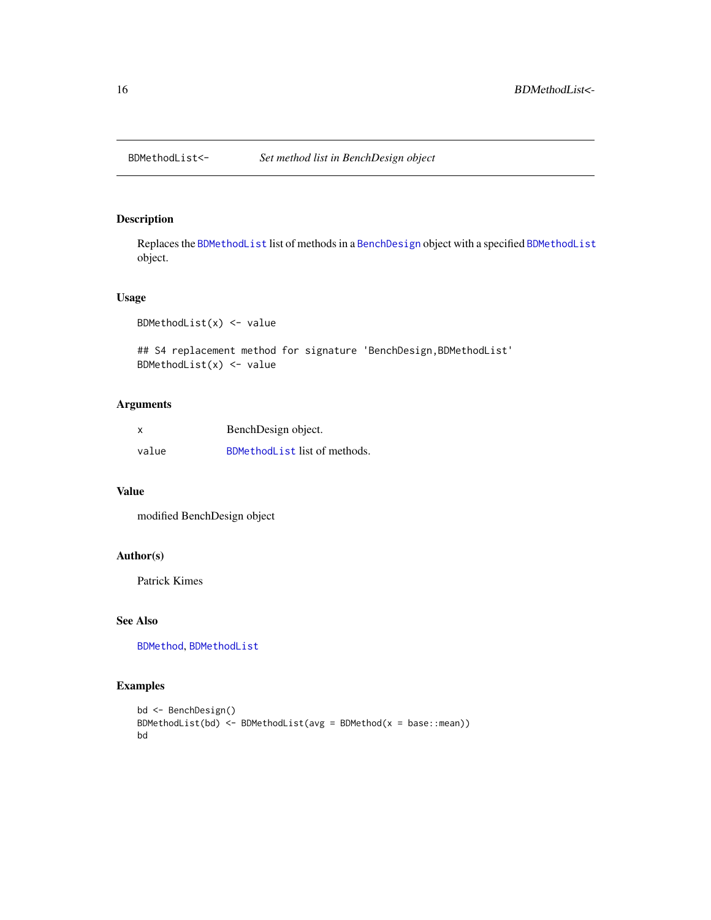<span id="page-15-0"></span>

Replaces the [BDMethodList](#page-14-1) list of methods in a [BenchDesign](#page-17-1) object with a specified [BDMethodList](#page-14-1) object.

#### Usage

```
BDMethodList(x) <- value
```
## S4 replacement method for signature 'BenchDesign,BDMethodList' BDMethodList $(x)$  <- value

## Arguments

| x     | BenchDesign object.           |
|-------|-------------------------------|
| value | BDMethodList list of methods. |

## Value

modified BenchDesign object

## Author(s)

Patrick Kimes

## See Also

[BDMethod](#page-10-1), [BDMethodList](#page-13-1)

```
bd <- BenchDesign()
BDMethodList(bd) <- BDMethodList(avg = BDMethod(x = base::mean))
bd
```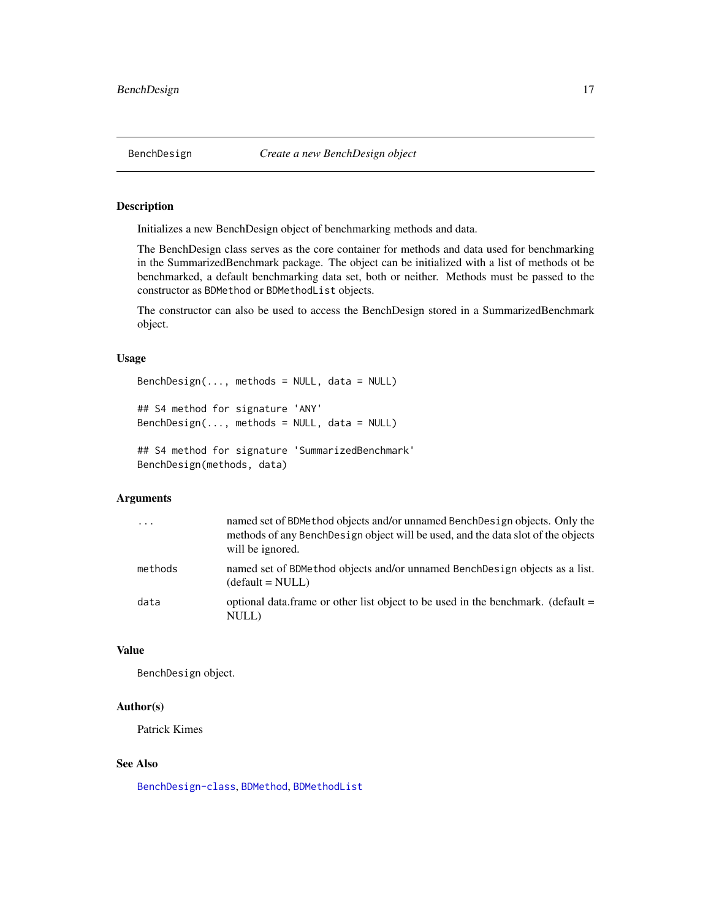<span id="page-16-1"></span><span id="page-16-0"></span>Initializes a new BenchDesign object of benchmarking methods and data.

The BenchDesign class serves as the core container for methods and data used for benchmarking in the SummarizedBenchmark package. The object can be initialized with a list of methods ot be benchmarked, a default benchmarking data set, both or neither. Methods must be passed to the constructor as BDMethod or BDMethodList objects.

The constructor can also be used to access the BenchDesign stored in a SummarizedBenchmark object.

#### Usage

```
BenchDesign(..., methods = NULL, data = NULL)## S4 method for signature 'ANY'
BenchDesign(..., methods = NULL, data = NULL)
## S4 method for signature 'SummarizedBenchmark'
```
BenchDesign(methods, data)

## Arguments

| $\cdot$ | named set of BDMethod objects and/or unnamed BenchDesign objects. Only the<br>methods of any Bench Design object will be used, and the data slot of the objects<br>will be ignored. |
|---------|-------------------------------------------------------------------------------------------------------------------------------------------------------------------------------------|
| methods | named set of BDMethod objects and/or unnamed BenchDesign objects as a list.<br>$(detault = NULL)$                                                                                   |
| data    | optional data.frame or other list object to be used in the benchmark. (default =<br>NULL)                                                                                           |

#### Value

BenchDesign object.

#### Author(s)

Patrick Kimes

#### See Also

[BenchDesign-class](#page-17-1), [BDMethod](#page-10-1), [BDMethodList](#page-13-1)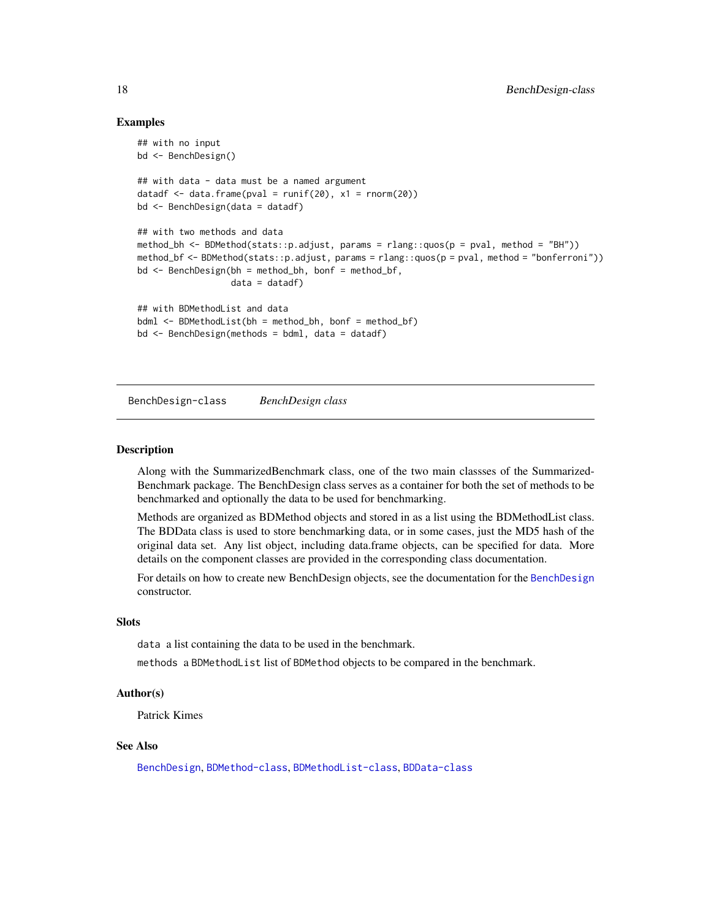## Examples

```
## with no input
bd <- BenchDesign()
## with data - data must be a named argument
datadf \leq data.frame(pval = runif(20), x1 = rnorm(20))
bd <- BenchDesign(data = datadf)
## with two methods and data
method_bh <- BDMethod(stats::p.adjust, params = rlang::quos(p = pval, method = "BH"))
method_bf <- BDMethod(stats::p.adjust, params = rlang::quos(p = pval, method = "bonferroni"))
bd <- BenchDesign(bh = method_bh, bonf = method_bf,
                  data = data(f)## with BDMethodList and data
bdml \leq BDMethodList(bh = method_bh, bonf = method_bf)bd <- BenchDesign(methods = bdml, data = datadf)
```
<span id="page-17-1"></span>BenchDesign-class *BenchDesign class*

#### Description

Along with the SummarizedBenchmark class, one of the two main classses of the Summarized-Benchmark package. The BenchDesign class serves as a container for both the set of methods to be benchmarked and optionally the data to be used for benchmarking.

Methods are organized as BDMethod objects and stored in as a list using the BDMethodList class. The BDData class is used to store benchmarking data, or in some cases, just the MD5 hash of the original data set. Any list object, including data.frame objects, can be specified for data. More details on the component classes are provided in the corresponding class documentation.

For details on how to create new BenchDesign objects, see the documentation for the [BenchDesign](#page-16-1) constructor.

#### Slots

data a list containing the data to be used in the benchmark.

methods a BDMethodList list of BDMethod objects to be compared in the benchmark.

## Author(s)

Patrick Kimes

## See Also

[BenchDesign](#page-16-1), [BDMethod-class](#page-11-1), [BDMethodList-class](#page-14-1), [BDData-class](#page-8-1)

<span id="page-17-0"></span>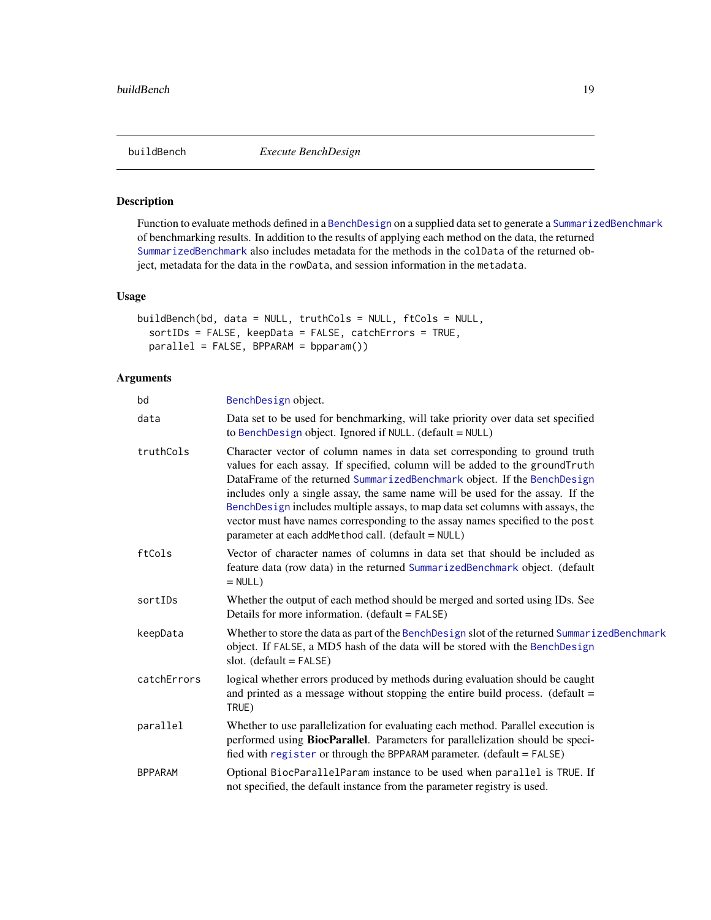<span id="page-18-1"></span><span id="page-18-0"></span>

Function to evaluate methods defined in a [BenchDesign](#page-17-1) on a supplied data set to generate a [SummarizedBenchmark](#page-40-1) of benchmarking results. In addition to the results of applying each method on the data, the returned [SummarizedBenchmark](#page-40-1) also includes metadata for the methods in the colData of the returned object, metadata for the data in the rowData, and session information in the metadata.

#### Usage

```
buildBench(bd, data = NULL, truthCols = NULL, ftCols = NULL,
  sortIDs = FALSE, keepData = FALSE, catchErrors = TRUE,
 parallel = FALSE, BPPARAM = bpparam())
```
## Arguments

| bd             | BenchDesign object.                                                                                                                                                                                                                                                                                                                                                                                                                                                                                                                               |
|----------------|---------------------------------------------------------------------------------------------------------------------------------------------------------------------------------------------------------------------------------------------------------------------------------------------------------------------------------------------------------------------------------------------------------------------------------------------------------------------------------------------------------------------------------------------------|
| data           | Data set to be used for benchmarking, will take priority over data set specified<br>to BenchDesign object. Ignored if NULL. (default = NULL)                                                                                                                                                                                                                                                                                                                                                                                                      |
| truthCols      | Character vector of column names in data set corresponding to ground truth<br>values for each assay. If specified, column will be added to the groundTruth<br>DataFrame of the returned SummarizedBenchmark object. If the BenchDesign<br>includes only a single assay, the same name will be used for the assay. If the<br>BenchDesign includes multiple assays, to map data set columns with assays, the<br>vector must have names corresponding to the assay names specified to the post<br>parameter at each addMethod call. (default = NULL) |
| ftCols         | Vector of character names of columns in data set that should be included as<br>feature data (row data) in the returned SummarizedBenchmark object. (default<br>$= NULL$ )                                                                                                                                                                                                                                                                                                                                                                         |
| sortIDs        | Whether the output of each method should be merged and sorted using IDs. See<br>Details for more information. (default = FALSE)                                                                                                                                                                                                                                                                                                                                                                                                                   |
| keepData       | Whether to store the data as part of the BenchDesign slot of the returned SummarizedBenchmark<br>object. If FALSE, a MD5 hash of the data will be stored with the BenchDesign<br>slot. $(default = FALSE)$                                                                                                                                                                                                                                                                                                                                        |
| catchErrors    | logical whether errors produced by methods during evaluation should be caught<br>and printed as a message without stopping the entire build process. (default $=$<br>TRUE)                                                                                                                                                                                                                                                                                                                                                                        |
| parallel       | Whether to use parallelization for evaluating each method. Parallel execution is<br>performed using BiocParallel. Parameters for parallelization should be speci-<br>fied with register or through the BPPARAM parameter. (default = FALSE)                                                                                                                                                                                                                                                                                                       |
| <b>BPPARAM</b> | Optional BiocParallelParam instance to be used when parallel is TRUE. If<br>not specified, the default instance from the parameter registry is used.                                                                                                                                                                                                                                                                                                                                                                                              |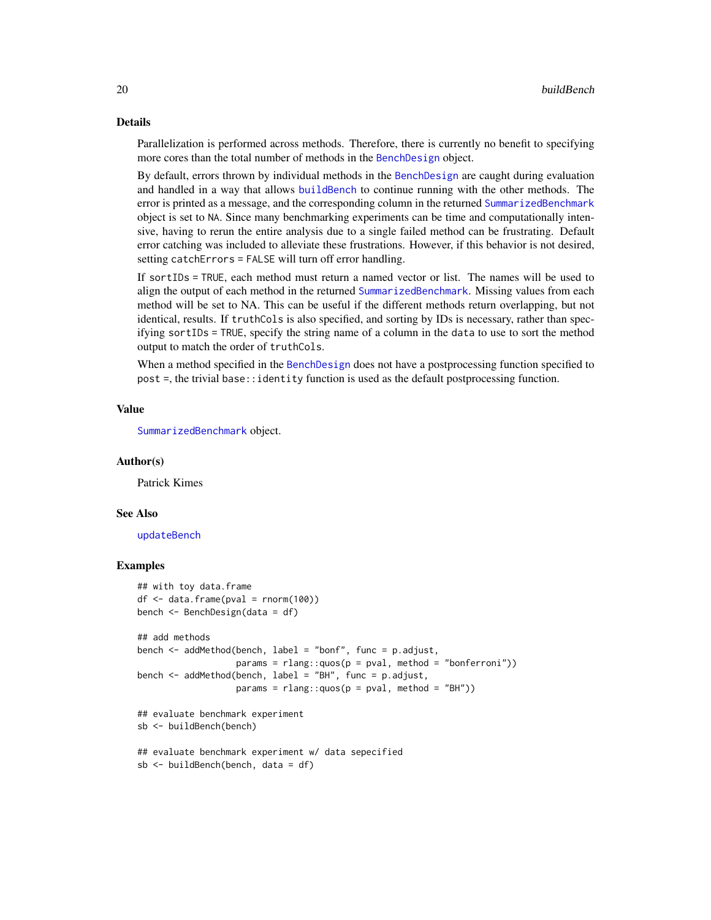#### Details

Parallelization is performed across methods. Therefore, there is currently no benefit to specifying more cores than the total number of methods in the [BenchDesign](#page-17-1) object.

By default, errors thrown by individual methods in the [BenchDesign](#page-17-1) are caught during evaluation and handled in a way that allows [buildBench](#page-18-1) to continue running with the other methods. The error is printed as a message, and the corresponding column in the returned [SummarizedBenchmark](#page-40-1) object is set to NA. Since many benchmarking experiments can be time and computationally intensive, having to rerun the entire analysis due to a single failed method can be frustrating. Default error catching was included to alleviate these frustrations. However, if this behavior is not desired, setting catchErrors = FALSE will turn off error handling.

If sortIDs = TRUE, each method must return a named vector or list. The names will be used to align the output of each method in the returned [SummarizedBenchmark](#page-40-1). Missing values from each method will be set to NA. This can be useful if the different methods return overlapping, but not identical, results. If truthCols is also specified, and sorting by IDs is necessary, rather than specifying sortIDs = TRUE, specify the string name of a column in the data to use to sort the method output to match the order of truthCols.

When a method specified in the [BenchDesign](#page-17-1) does not have a postprocessing function specified to post =, the trivial base::identity function is used as the default postprocessing function.

#### Value

[SummarizedBenchmark](#page-40-1) object.

#### Author(s)

Patrick Kimes

#### See Also

[updateBench](#page-43-1)

```
## with toy data.frame
df <- data.frame(pval = rnorm(100))
bench <- BenchDesign(data = df)
## add methods
bench <- addMethod(bench, label = "bonf", func = p.adjust,
                   params = rlang::quos(p = pval, method = "bonferroni"))bench <- addMethod(bench, label = "BH", func = p.adjust,
                  params = rlang::ques(p = pval, method = "BH"))## evaluate benchmark experiment
sb <- buildBench(bench)
## evaluate benchmark experiment w/ data sepecified
sb <- buildBench(bench, data = df)
```
<span id="page-19-0"></span>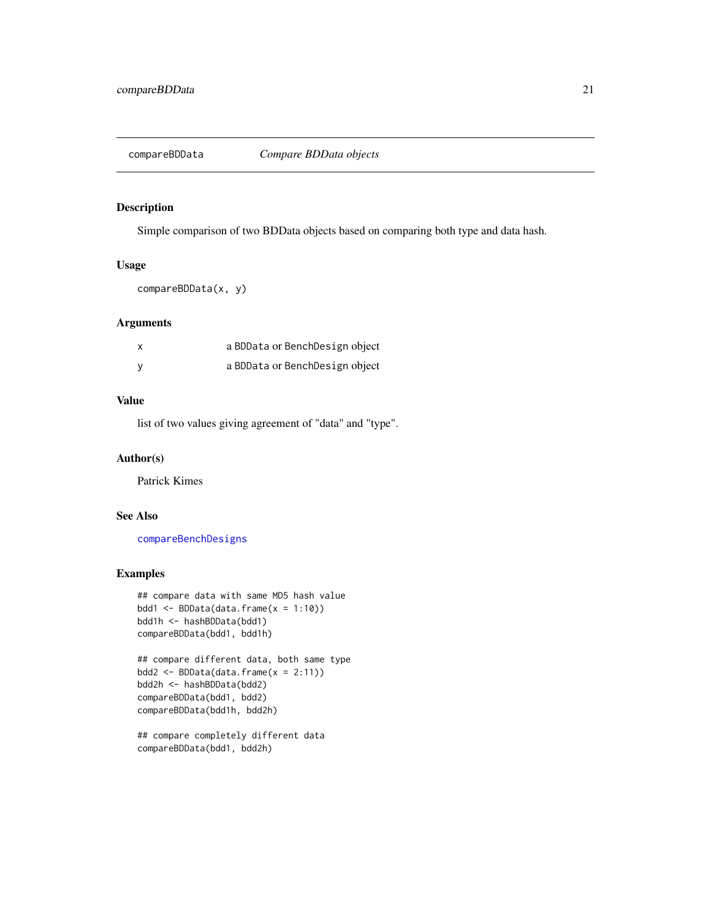<span id="page-20-1"></span><span id="page-20-0"></span>

Simple comparison of two BDData objects based on comparing both type and data hash.

## Usage

compareBDData(x, y)

## Arguments

| x        | a BDData or BenchDesign object |  |
|----------|--------------------------------|--|
| <b>V</b> | a BDData or BenchDesign object |  |

## Value

list of two values giving agreement of "data" and "type".

## Author(s)

Patrick Kimes

## See Also

[compareBenchDesigns](#page-21-1)

```
## compare data with same MD5 hash value
bdd1 <- BDData(data.frame(x = 1:10))
bdd1h <- hashBDData(bdd1)
compareBDData(bdd1, bdd1h)
```

```
## compare different data, both same type
bdd2 <- BDData(data.frame(x = 2:11))
bdd2h <- hashBDData(bdd2)
compareBDData(bdd1, bdd2)
compareBDData(bdd1h, bdd2h)
```

```
## compare completely different data
compareBDData(bdd1, bdd2h)
```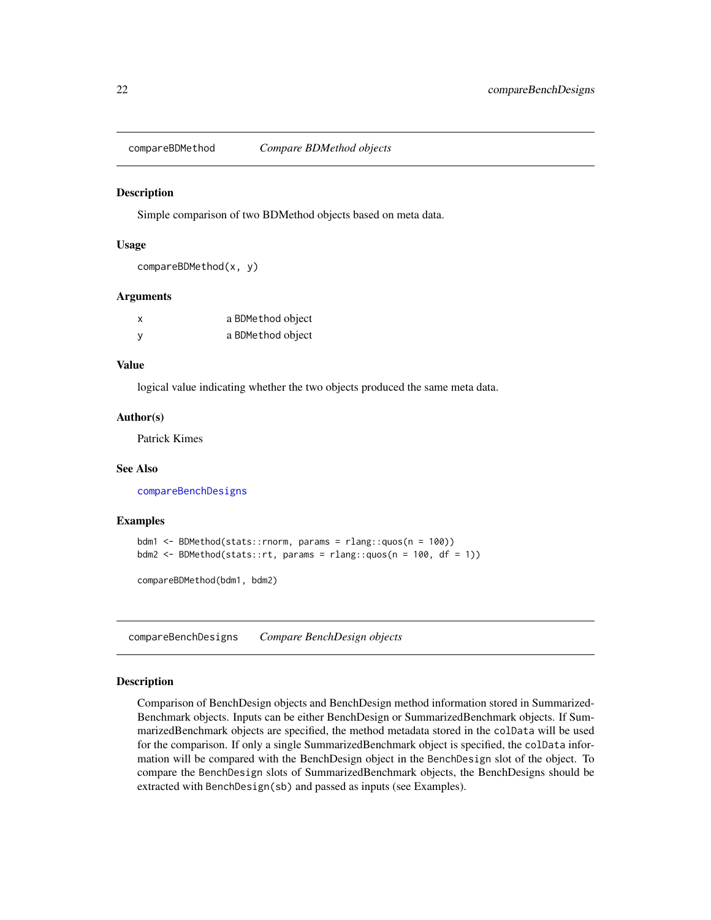<span id="page-21-2"></span><span id="page-21-0"></span>

Simple comparison of two BDMethod objects based on meta data.

#### Usage

```
compareBDMethod(x, y)
```
#### Arguments

| x | a BDMethod object |
|---|-------------------|
| y | a BDMethod object |

## Value

logical value indicating whether the two objects produced the same meta data.

#### Author(s)

Patrick Kimes

#### See Also

[compareBenchDesigns](#page-21-1)

## Examples

```
bdm1 <- BDMethod(stats::rnorm, params = rlang::quos(n = 100))
bdm2 <- BDMethod(stats::rt, params = rlang::quos(n = 100, df = 1))
```
compareBDMethod(bdm1, bdm2)

<span id="page-21-1"></span>compareBenchDesigns *Compare BenchDesign objects*

#### Description

Comparison of BenchDesign objects and BenchDesign method information stored in Summarized-Benchmark objects. Inputs can be either BenchDesign or SummarizedBenchmark objects. If SummarizedBenchmark objects are specified, the method metadata stored in the colData will be used for the comparison. If only a single SummarizedBenchmark object is specified, the colData information will be compared with the BenchDesign object in the BenchDesign slot of the object. To compare the BenchDesign slots of SummarizedBenchmark objects, the BenchDesigns should be extracted with BenchDesign(sb) and passed as inputs (see Examples).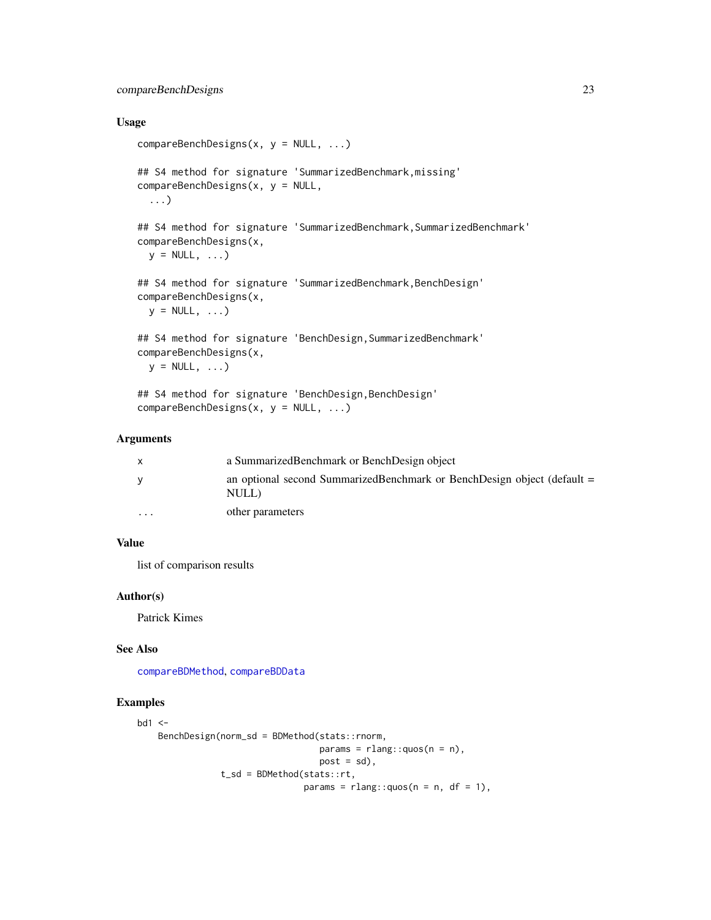## <span id="page-22-0"></span>Usage

```
compareBenchDesigns(x, y = NULL, ...)## S4 method for signature 'SummarizedBenchmark,missing'
compareBenchDesigns(x, y = NULL,
  ...)
## S4 method for signature 'SummarizedBenchmark, SummarizedBenchmark'
compareBenchDesigns(x,
 y = NULL, ...## S4 method for signature 'SummarizedBenchmark, BenchDesign'
compareBenchDesigns(x,
 y = NULL, ...## S4 method for signature 'BenchDesign,SummarizedBenchmark'
compareBenchDesigns(x,
 y = NULL, ...
```
## S4 method for signature 'BenchDesign, BenchDesign' compareBenchDesigns(x, y = NULL, ...)

## Arguments

| X        | a Summarized Benchmark or Bench Design object                                      |
|----------|------------------------------------------------------------------------------------|
| <b>V</b> | an optional second SummarizedBenchmark or BenchDesign object (default $=$<br>NULL) |
| $\cdots$ | other parameters                                                                   |

## Value

list of comparison results

## Author(s)

Patrick Kimes

## See Also

[compareBDMethod](#page-21-2), [compareBDData](#page-20-1)

```
bd1 <-
    BenchDesign(norm_sd = BDMethod(stats::rnorm,
                                  params = rlang::quos(n = n),post = sd,
                t_sd = BDMethod(stats::rt,
                                params = rlang::quos(n = n, df = 1),
```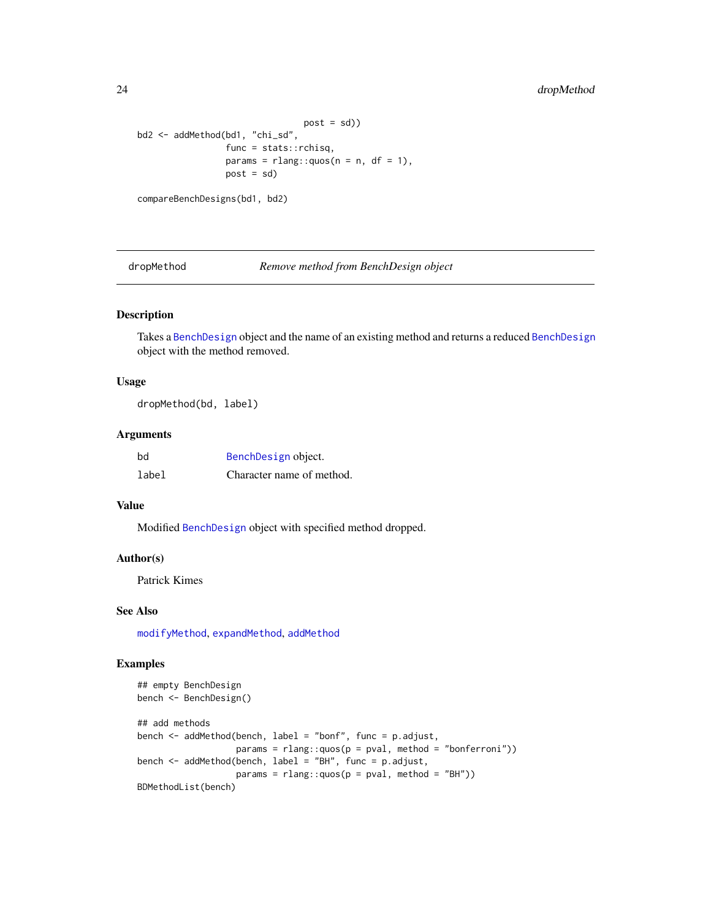## <span id="page-23-0"></span>24 dropMethod

```
post = sd()bd2 <- addMethod(bd1, "chi_sd",
                 func = stats::rchisq,
                 params = rlang::quos(n = n, df = 1),
                 post = sd
```

```
compareBenchDesigns(bd1, bd2)
```
<span id="page-23-1"></span>dropMethod *Remove method from BenchDesign object*

#### Description

Takes a [BenchDesign](#page-17-1) object and the name of an existing method and returns a reduced [BenchDesign](#page-17-1) object with the method removed.

## Usage

dropMethod(bd, label)

## Arguments

| bd    | BenchDesign object.       |
|-------|---------------------------|
| label | Character name of method. |

#### Value

Modified [BenchDesign](#page-17-1) object with specified method dropped.

#### Author(s)

Patrick Kimes

## See Also

[modifyMethod](#page-29-1), [expandMethod](#page-25-1), [addMethod](#page-2-1)

```
## empty BenchDesign
bench <- BenchDesign()
## add methods
bench <- addMethod(bench, label = "bonf", func = p.adjust,
                  params = rlang::ques(p = pval, method = "bonferroni"))bench <- addMethod(bench, label = "BH", func = p.adjust,
                  params = rlang::ques(p = pval, method = "BH"))BDMethodList(bench)
```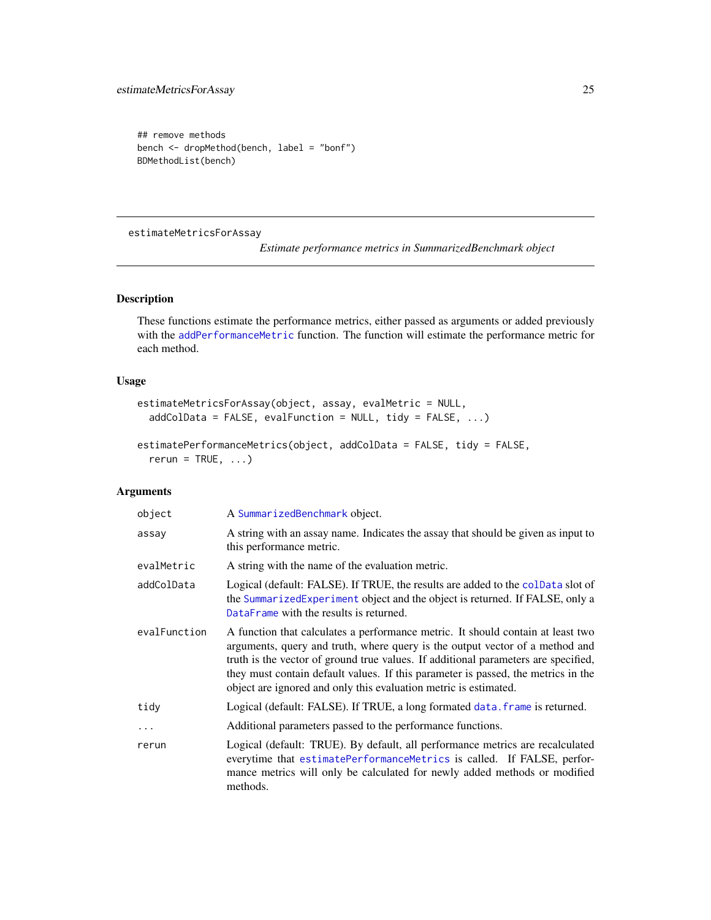```
## remove methods
bench <- dropMethod(bench, label = "bonf")
BDMethodList(bench)
```
estimateMetricsForAssay

*Estimate performance metrics in SummarizedBenchmark object*

## <span id="page-24-1"></span>Description

These functions estimate the performance metrics, either passed as arguments or added previously with the [addPerformanceMetric](#page-4-1) function. The function will estimate the performance metric for each method.

## Usage

```
estimateMetricsForAssay(object, assay, evalMetric = NULL,
 addColData = FALSE, evalFunction = NULL, tidy = FALSE, ...)
```

```
estimatePerformanceMetrics(object, addColData = FALSE, tidy = FALSE,
  rerun = TRUE, ...)
```
## Arguments

| object       | A SummarizedBenchmark object.                                                                                                                                                                                                                                                                                                                                                                                  |
|--------------|----------------------------------------------------------------------------------------------------------------------------------------------------------------------------------------------------------------------------------------------------------------------------------------------------------------------------------------------------------------------------------------------------------------|
| assay        | A string with an assay name. Indicates the assay that should be given as input to<br>this performance metric.                                                                                                                                                                                                                                                                                                  |
| evalMetric   | A string with the name of the evaluation metric.                                                                                                                                                                                                                                                                                                                                                               |
| addColData   | Logical (default: FALSE). If TRUE, the results are added to the colData slot of<br>the SummarizedExperiment object and the object is returned. If FALSE, only a<br>DataFrame with the results is returned.                                                                                                                                                                                                     |
| evalFunction | A function that calculates a performance metric. It should contain at least two<br>arguments, query and truth, where query is the output vector of a method and<br>truth is the vector of ground true values. If additional parameters are specified,<br>they must contain default values. If this parameter is passed, the metrics in the<br>object are ignored and only this evaluation metric is estimated. |
| tidy         | Logical (default: FALSE). If TRUE, a long formated data. frame is returned.                                                                                                                                                                                                                                                                                                                                    |
| $\ddots$     | Additional parameters passed to the performance functions.                                                                                                                                                                                                                                                                                                                                                     |
| rerun        | Logical (default: TRUE). By default, all performance metrics are recalculated<br>everytime that estimatePerformanceMetrics is called. If FALSE, perfor-<br>mance metrics will only be calculated for newly added methods or modified<br>methods.                                                                                                                                                               |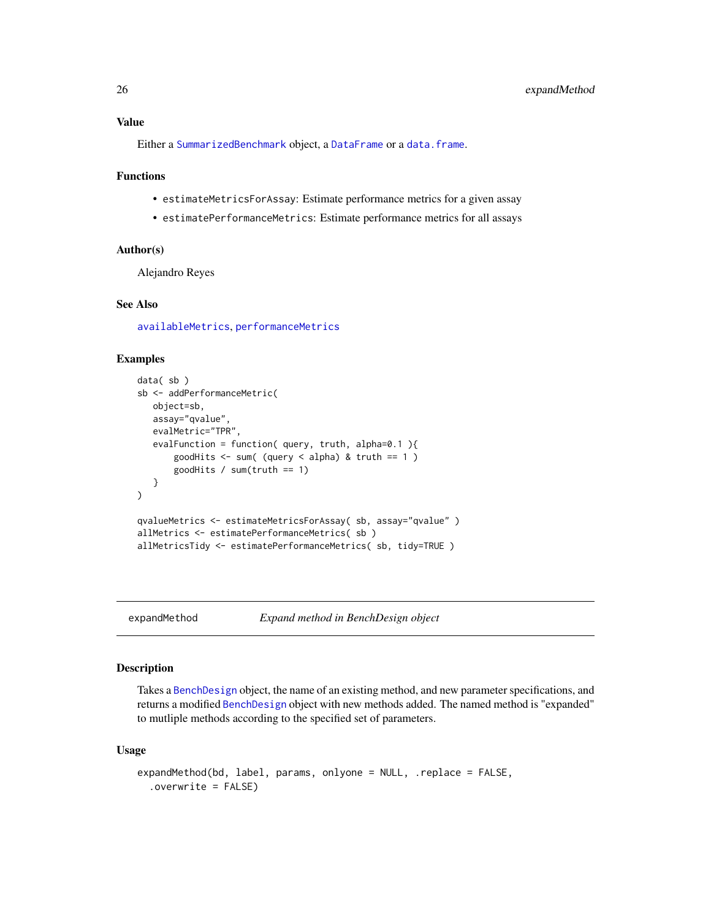## <span id="page-25-0"></span>Value

Either a [SummarizedBenchmark](#page-38-1) object, a [DataFrame](#page-0-0) or a [data.frame](#page-0-0).

## Functions

- estimateMetricsForAssay: Estimate performance metrics for a given assay
- estimatePerformanceMetrics: Estimate performance metrics for all assays

## Author(s)

Alejandro Reyes

## See Also

[availableMetrics](#page-6-1), [performanceMetrics](#page-31-1)

## Examples

```
data( sb )
sb <- addPerformanceMetric(
  object=sb,
  assay="qvalue",
   evalMetric="TPR",
   evalFunction = function( query, truth, alpha=0.1 ){
       goodHits \leq sum( (query \leq alpha) & truth == 1 )
       goodHits / sum(truth == 1)
   }
\lambdaqvalueMetrics <- estimateMetricsForAssay( sb, assay="qvalue" )
allMetrics <- estimatePerformanceMetrics( sb )
allMetricsTidy <- estimatePerformanceMetrics( sb, tidy=TRUE )
```
<span id="page-25-1"></span>

expandMethod *Expand method in BenchDesign object*

#### Description

Takes a [BenchDesign](#page-17-1) object, the name of an existing method, and new parameter specifications, and returns a modified [BenchDesign](#page-17-1) object with new methods added. The named method is "expanded" to mutliple methods according to the specified set of parameters.

#### Usage

```
expandMethod(bd, label, params, onlyone = NULL, .replace = FALSE,
  .overwrite = FALSE)
```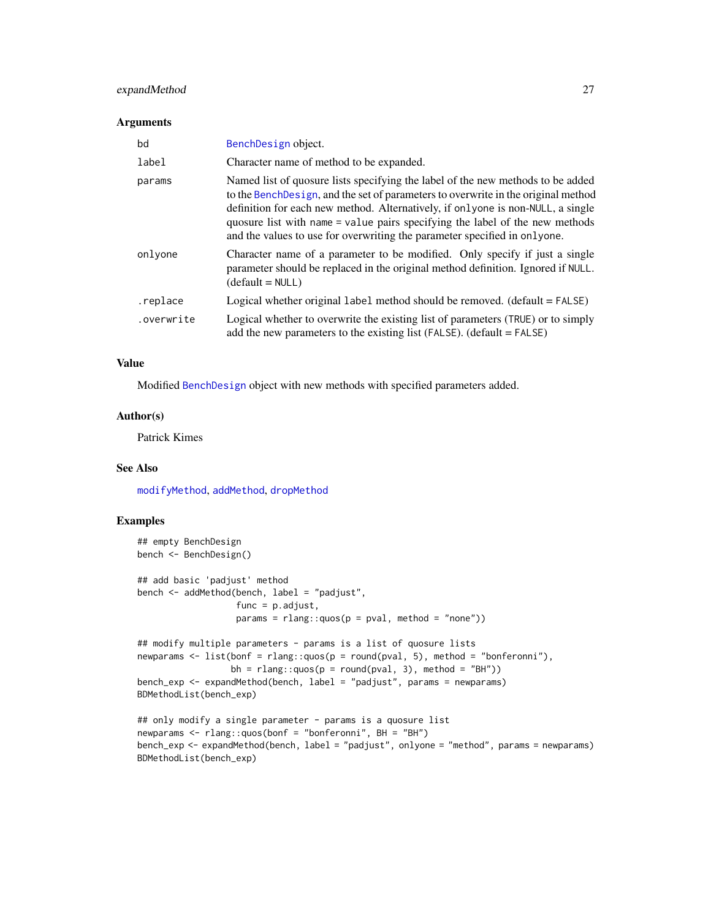## <span id="page-26-0"></span>expandMethod 27

#### Arguments

| bd         | BenchDesign object.                                                                                                                                                                                                                                                                                                                                                                                                   |
|------------|-----------------------------------------------------------------------------------------------------------------------------------------------------------------------------------------------------------------------------------------------------------------------------------------------------------------------------------------------------------------------------------------------------------------------|
| label      | Character name of method to be expanded.                                                                                                                                                                                                                                                                                                                                                                              |
| params     | Named list of quosure lists specifying the label of the new methods to be added<br>to the Bench Design, and the set of parameters to overwrite in the original method<br>definition for each new method. Alternatively, if onlyone is non-NULL, a single<br>quosure list with name = value pairs specifying the label of the new methods<br>and the values to use for overwriting the parameter specified in onlyone. |
| onlyone    | Character name of a parameter to be modified. Only specify if just a single<br>parameter should be replaced in the original method definition. Ignored if NULL.<br>$(detault = NULL)$                                                                                                                                                                                                                                 |
| .replace   | Logical whether original label method should be removed. (default = FALSE)                                                                                                                                                                                                                                                                                                                                            |
| .overwrite | Logical whether to overwrite the existing list of parameters (TRUE) or to simply<br>add the new parameters to the existing list (FALSE). (default $=$ FALSE)                                                                                                                                                                                                                                                          |

## Value

Modified [BenchDesign](#page-17-1) object with new methods with specified parameters added.

#### Author(s)

Patrick Kimes

#### See Also

[modifyMethod](#page-29-1), [addMethod](#page-2-1), [dropMethod](#page-23-1)

```
## empty BenchDesign
bench <- BenchDesign()
## add basic 'padjust' method
bench <- addMethod(bench, label = "padjust",
                   func = p.adjust,
                   params = rlang::quos(p = pval, method = "none"))
## modify multiple parameters - params is a list of quosure lists
newparams \leq 1 ist(bonf = rlang::quos(p = round(pval, 5), method = "bonferonni"),
                  bh = rlang::quos(p = round(pval, 3), method = "BH"))
bench_exp <- expandMethod(bench, label = "padjust", params = newparams)
BDMethodList(bench_exp)
## only modify a single parameter - params is a quosure list
newparams <- rlang::quos(bonf = "bonferonni", BH = "BH")
bench_exp <- expandMethod(bench, label = "padjust", onlyone = "method", params = newparams)
BDMethodList(bench_exp)
```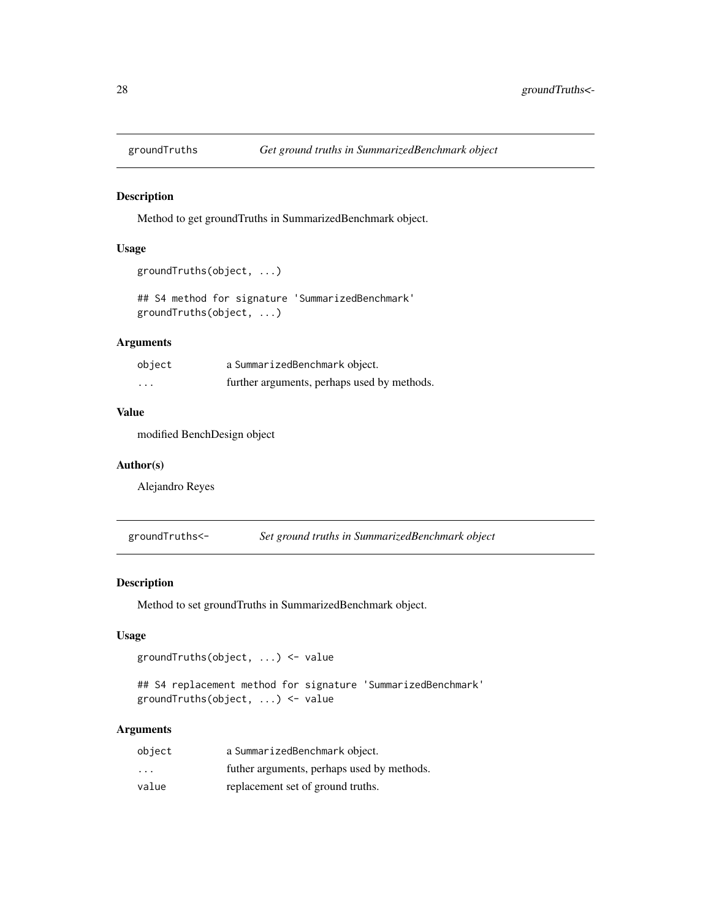<span id="page-27-0"></span>

Method to get groundTruths in SummarizedBenchmark object.

## Usage

```
groundTruths(object, ...)
```
## S4 method for signature 'SummarizedBenchmark' groundTruths(object, ...)

#### Arguments

| object   | a SummarizedBenchmark object.               |
|----------|---------------------------------------------|
| $\cdots$ | further arguments, perhaps used by methods. |

#### Value

modified BenchDesign object

## Author(s)

Alejandro Reyes

groundTruths<- *Set ground truths in SummarizedBenchmark object*

## Description

Method to set groundTruths in SummarizedBenchmark object.

### Usage

```
groundTruths(object, ...) <- value
```
## S4 replacement method for signature 'SummarizedBenchmark' groundTruths(object, ...) <- value

## Arguments

| object                  | a SummarizedBenchmark object.              |
|-------------------------|--------------------------------------------|
| $\cdot$ $\cdot$ $\cdot$ | futher arguments, perhaps used by methods. |
| value                   | replacement set of ground truths.          |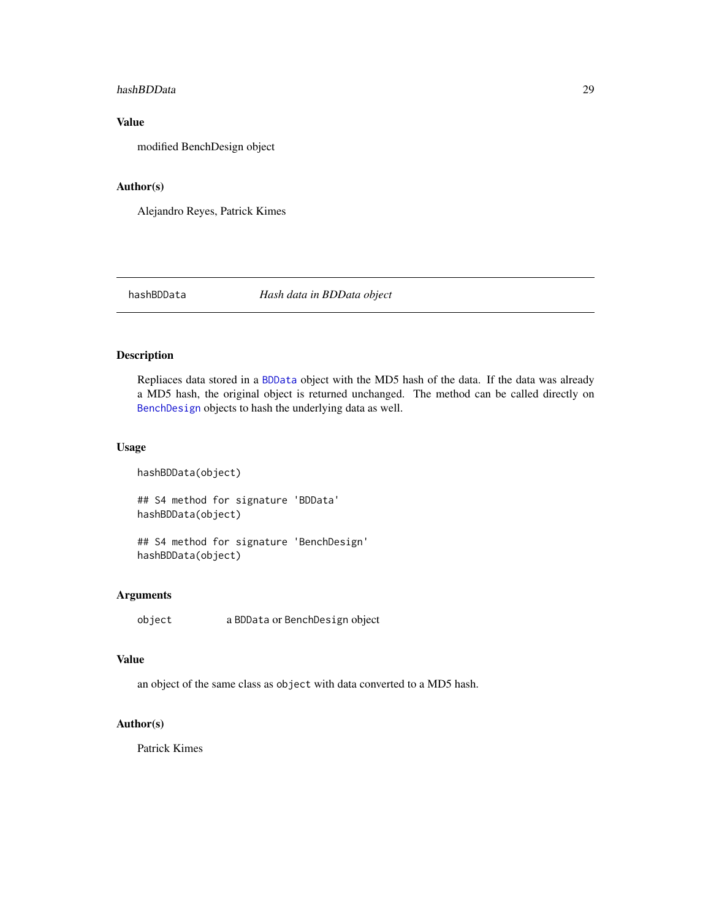#### <span id="page-28-0"></span>hashBDData 29

## Value

modified BenchDesign object

#### Author(s)

Alejandro Reyes, Patrick Kimes

hashBDData *Hash data in BDData object*

## Description

Repliaces data stored in a [BDData](#page-8-1) object with the MD5 hash of the data. If the data was already a MD5 hash, the original object is returned unchanged. The method can be called directly on [BenchDesign](#page-17-1) objects to hash the underlying data as well.

## Usage

hashBDData(object) ## S4 method for signature 'BDData' hashBDData(object) ## S4 method for signature 'BenchDesign'

hashBDData(object)

## Arguments

object a BDData or BenchDesign object

## Value

an object of the same class as object with data converted to a MD5 hash.

## Author(s)

Patrick Kimes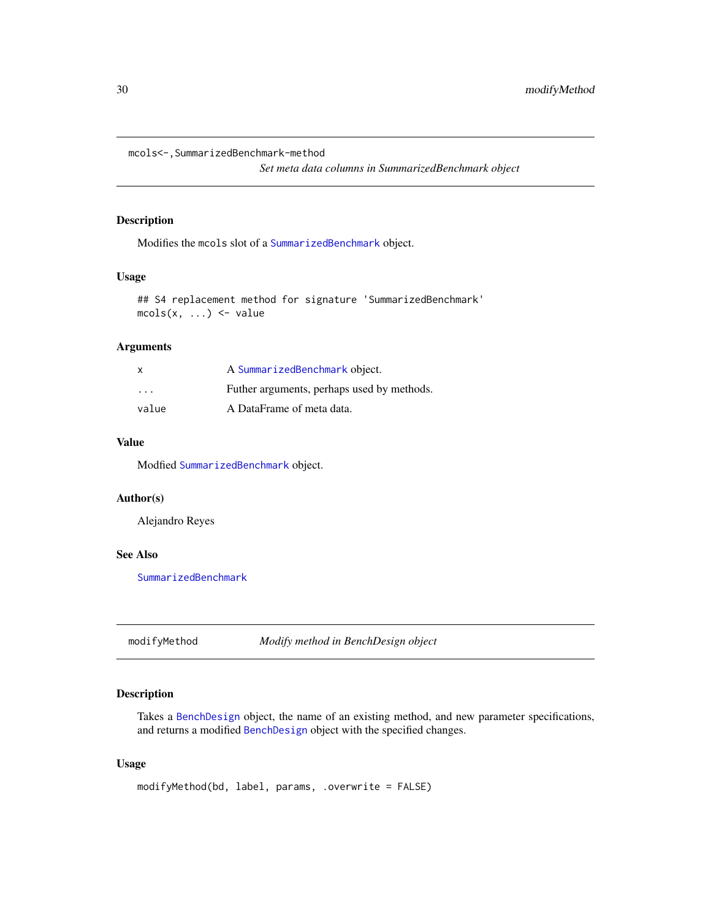<span id="page-29-0"></span>mcols<-,SummarizedBenchmark-method

*Set meta data columns in SummarizedBenchmark object*

## Description

Modifies the mcols slot of a [SummarizedBenchmark](#page-40-1) object.

## Usage

```
## S4 replacement method for signature 'SummarizedBenchmark'
mcols(x, \ldots) \leq value
```
## Arguments

| X       | A SummarizedBenchmark object.              |
|---------|--------------------------------------------|
| $\cdot$ | Futher arguments, perhaps used by methods. |
| value   | A DataFrame of meta data.                  |

## Value

Modfied [SummarizedBenchmark](#page-40-1) object.

#### Author(s)

Alejandro Reyes

#### See Also

[SummarizedBenchmark](#page-40-1)

<span id="page-29-1"></span>modifyMethod *Modify method in BenchDesign object*

## Description

Takes a [BenchDesign](#page-17-1) object, the name of an existing method, and new parameter specifications, and returns a modified [BenchDesign](#page-17-1) object with the specified changes.

#### Usage

```
modifyMethod(bd, label, params, .overwrite = FALSE)
```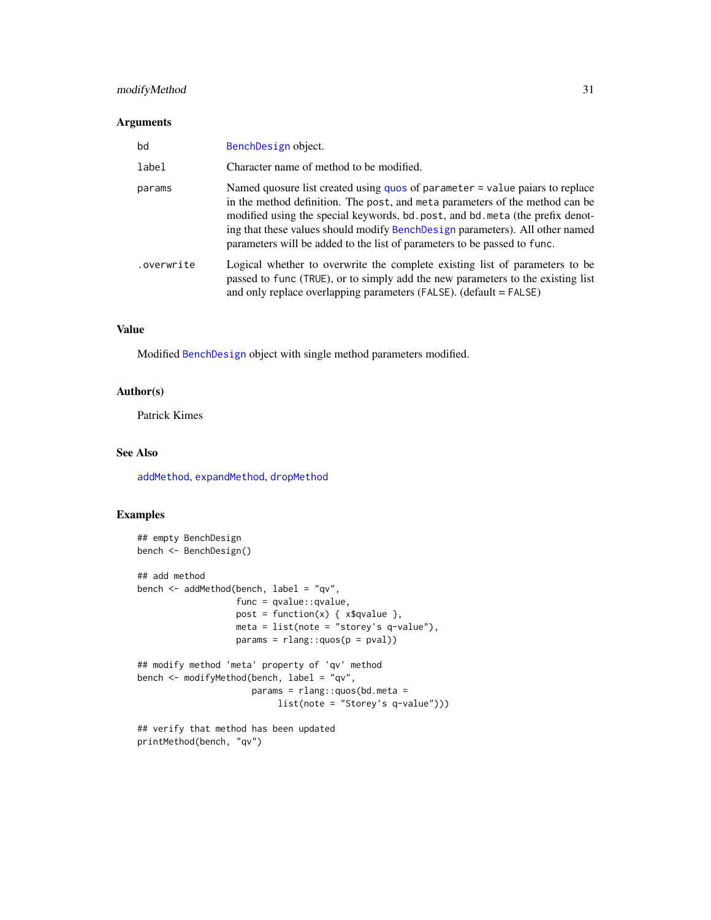## <span id="page-30-0"></span>modifyMethod 31

#### Arguments

| bd         | BenchDesign object.                                                                                                                                                                                                                                                                                                                                                                                         |
|------------|-------------------------------------------------------------------------------------------------------------------------------------------------------------------------------------------------------------------------------------------------------------------------------------------------------------------------------------------------------------------------------------------------------------|
| label      | Character name of method to be modified.                                                                                                                                                                                                                                                                                                                                                                    |
| params     | Named quosure list created using quos of parameter = value paiars to replace<br>in the method definition. The post, and meta parameters of the method can be<br>modified using the special keywords, bd. post, and bd. meta (the prefix denot-<br>ing that these values should modify Bench Design parameters). All other named<br>parameters will be added to the list of parameters to be passed to func. |
| .overwrite | Logical whether to overwrite the complete existing list of parameters to be<br>passed to func (TRUE), or to simply add the new parameters to the existing list<br>and only replace overlapping parameters (FALSE). (default = FALSE)                                                                                                                                                                        |

## Value

Modified [BenchDesign](#page-17-1) object with single method parameters modified.

## Author(s)

Patrick Kimes

## See Also

[addMethod](#page-2-1), [expandMethod](#page-25-1), [dropMethod](#page-23-1)

```
## empty BenchDesign
bench <- BenchDesign()
## add method
bench <- addMethod(bench, label = "qv",
                  func = qvalue::qvalue,
                  post = function(x) { x$qvalue },
                  meta = list(note = "storey's q-value"),
                  params = rlang::quos(p = pval))## modify method 'meta' property of 'qv' method
bench <- modifyMethod(bench, label = "qv",
                     params = rlang::quos(bd.meta =
                          list(note = "Storey's q-value")))
## verify that method has been updated
```

```
printMethod(bench, "qv")
```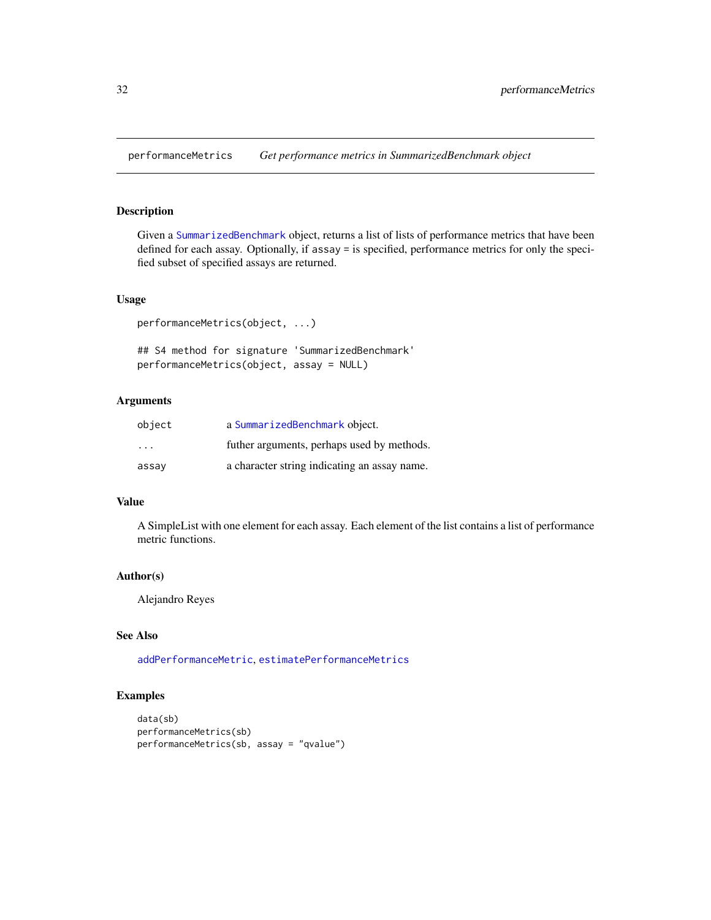<span id="page-31-1"></span><span id="page-31-0"></span>performanceMetrics *Get performance metrics in SummarizedBenchmark object*

## Description

Given a [SummarizedBenchmark](#page-40-1) object, returns a list of lists of performance metrics that have been defined for each assay. Optionally, if assay = is specified, performance metrics for only the specified subset of specified assays are returned.

## Usage

```
performanceMetrics(object, ...)
```
## S4 method for signature 'SummarizedBenchmark' performanceMetrics(object, assay = NULL)

## Arguments

| object  | a SummarizedBenchmark object.                |
|---------|----------------------------------------------|
| $\cdot$ | futher arguments, perhaps used by methods.   |
| assay   | a character string indicating an assay name. |

#### Value

A SimpleList with one element for each assay. Each element of the list contains a list of performance metric functions.

#### Author(s)

Alejandro Reyes

## See Also

[addPerformanceMetric](#page-4-1), [estimatePerformanceMetrics](#page-24-1)

```
data(sb)
performanceMetrics(sb)
performanceMetrics(sb, assay = "qvalue")
```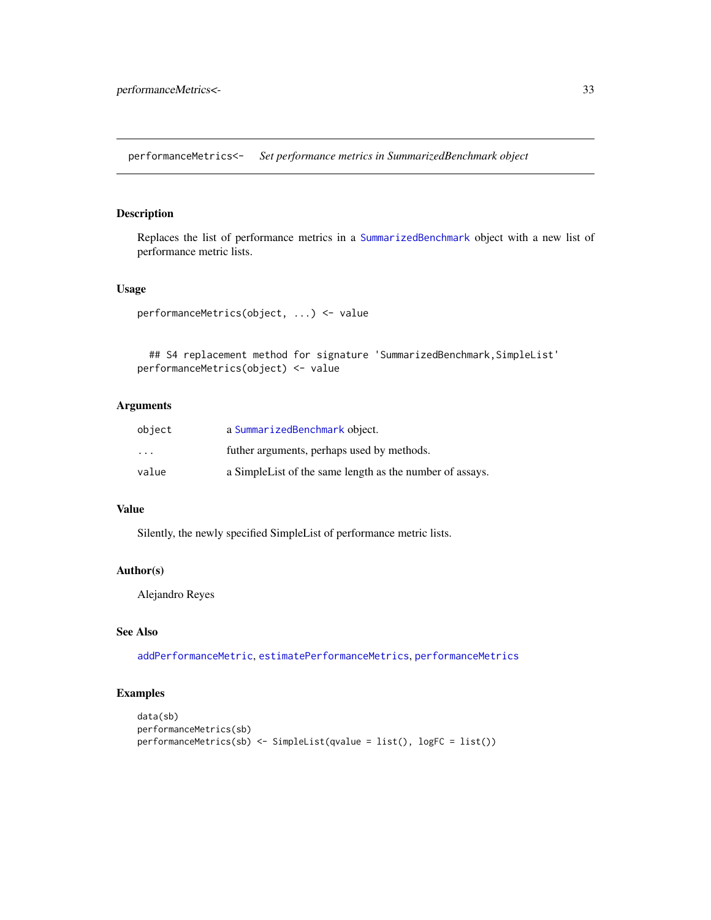<span id="page-32-0"></span>performanceMetrics<- *Set performance metrics in SummarizedBenchmark object*

## Description

Replaces the list of performance metrics in a [SummarizedBenchmark](#page-40-1) object with a new list of performance metric lists.

#### Usage

```
performanceMetrics(object, ...) <- value
```

```
## S4 replacement method for signature 'SummarizedBenchmark, SimpleList'
performanceMetrics(object) <- value
```
## Arguments

| object                  | a SummarizedBenchmark object.                             |
|-------------------------|-----------------------------------------------------------|
| $\cdot$ $\cdot$ $\cdot$ | futher arguments, perhaps used by methods.                |
| value                   | a Simple List of the same length as the number of assays. |

#### Value

Silently, the newly specified SimpleList of performance metric lists.

## Author(s)

Alejandro Reyes

## See Also

[addPerformanceMetric](#page-4-1), [estimatePerformanceMetrics](#page-24-1), [performanceMetrics](#page-31-1)

```
data(sb)
performanceMetrics(sb)
performanceMetrics(sb) <- SimpleList(qvalue = list(), logFC = list())
```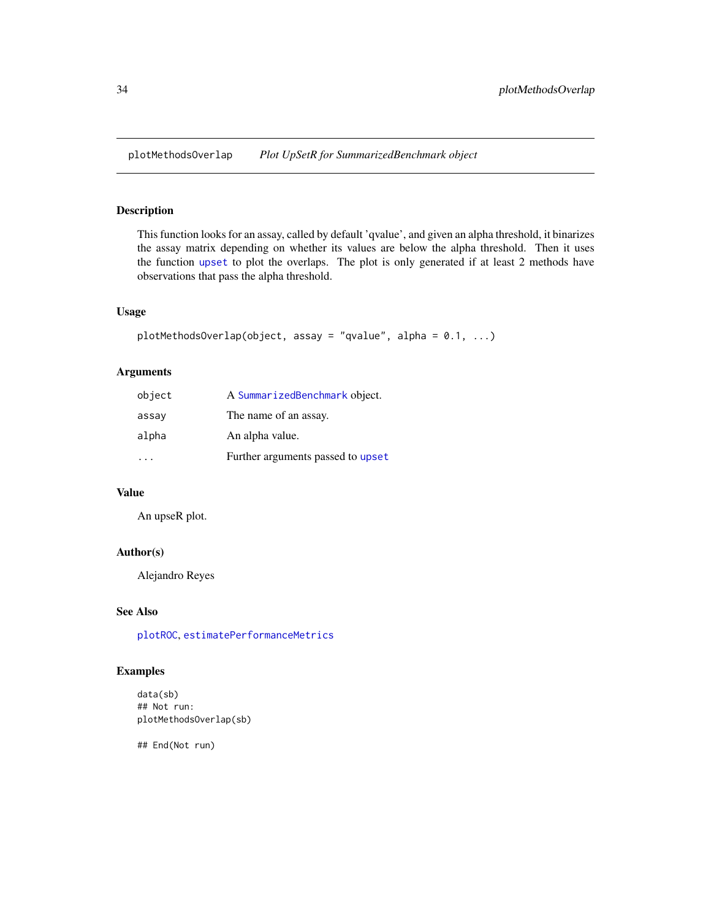<span id="page-33-1"></span><span id="page-33-0"></span>This function looks for an assay, called by default 'qvalue', and given an alpha threshold, it binarizes the assay matrix depending on whether its values are below the alpha threshold. Then it uses the function [upset](#page-0-0) to plot the overlaps. The plot is only generated if at least 2 methods have observations that pass the alpha threshold.

#### Usage

```
plotMethodsOverlap(object, assay = "qvalue", alpha = 0.1, ...)
```
## Arguments

| object | A SummarizedBenchmark object.     |
|--------|-----------------------------------|
| assay  | The name of an assay.             |
| alpha  | An alpha value.                   |
|        | Further arguments passed to upset |

## Value

An upseR plot.

## Author(s)

Alejandro Reyes

## See Also

[plotROC](#page-34-1), [estimatePerformanceMetrics](#page-24-1)

## Examples

data(sb) ## Not run: plotMethodsOverlap(sb)

## End(Not run)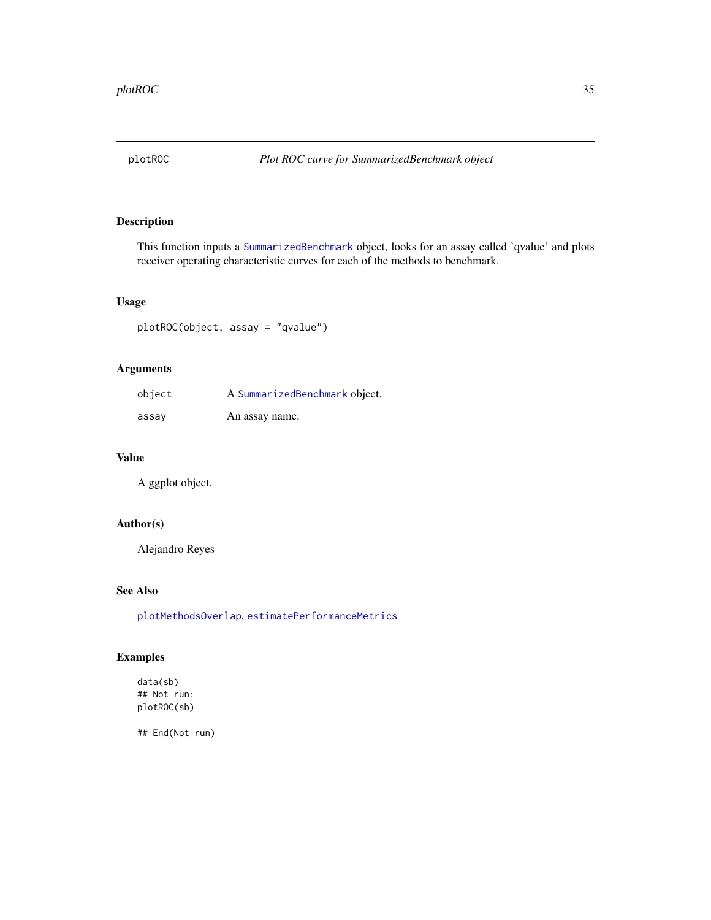<span id="page-34-1"></span><span id="page-34-0"></span>

This function inputs a [SummarizedBenchmark](#page-38-1) object, looks for an assay called 'qvalue' and plots receiver operating characteristic curves for each of the methods to benchmark.

## Usage

plotROC(object, assay = "qvalue")

## Arguments

| object | A SummarizedBenchmark object. |
|--------|-------------------------------|
| assay  | An assay name.                |

## Value

A ggplot object.

## Author(s)

Alejandro Reyes

## See Also

[plotMethodsOverlap](#page-33-1), [estimatePerformanceMetrics](#page-24-1)

## Examples

data(sb) ## Not run: plotROC(sb)

## End(Not run)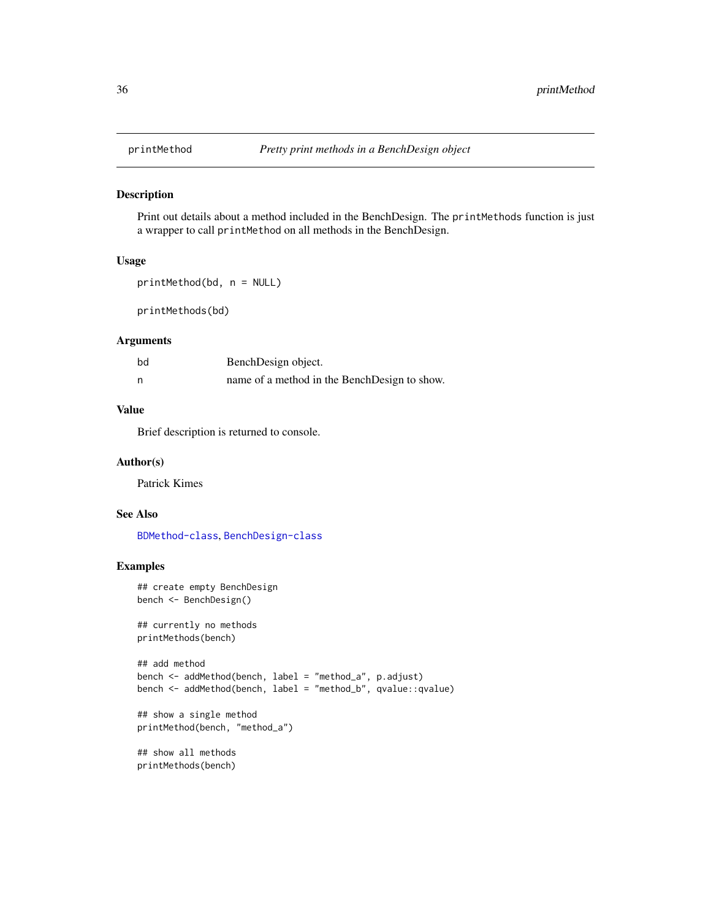<span id="page-35-0"></span>

Print out details about a method included in the BenchDesign. The printMethods function is just a wrapper to call printMethod on all methods in the BenchDesign.

## Usage

```
printMethod(bd, n = NULL)
```
printMethods(bd)

## Arguments

| bd | BenchDesign object.                          |
|----|----------------------------------------------|
|    | name of a method in the BenchDesign to show. |

## Value

Brief description is returned to console.

#### Author(s)

Patrick Kimes

## See Also

[BDMethod-class](#page-11-1), [BenchDesign-class](#page-17-1)

```
## create empty BenchDesign
bench <- BenchDesign()
```

```
## currently no methods
printMethods(bench)
```

```
## add method
bench <- addMethod(bench, label = "method_a", p.adjust)
bench <- addMethod(bench, label = "method_b", qvalue::qvalue)
```

```
## show a single method
printMethod(bench, "method_a")
```

```
## show all methods
printMethods(bench)
```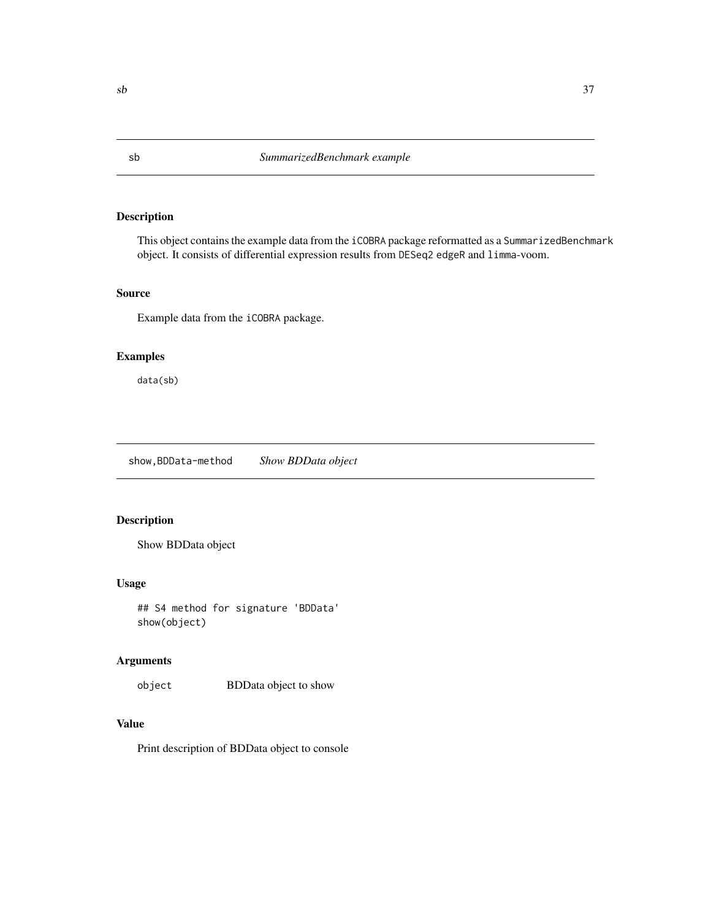This object contains the example data from the iCOBRA package reformatted as a SummarizedBenchmark object. It consists of differential expression results from DESeq2 edgeR and limma-voom.

## Source

Example data from the iCOBRA package.

## Examples

data(sb)

show,BDData-method *Show BDData object*

## Description

Show BDData object

#### Usage

## S4 method for signature 'BDData' show(object)

## Arguments

object BDData object to show

## Value

Print description of BDData object to console

<span id="page-36-0"></span>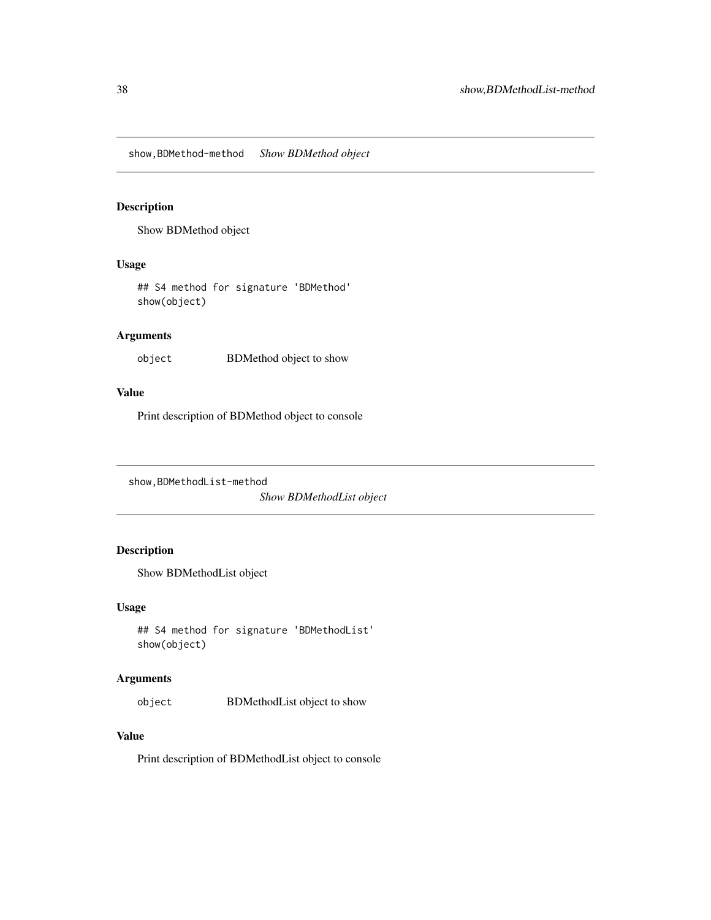<span id="page-37-0"></span>show,BDMethod-method *Show BDMethod object*

#### Description

Show BDMethod object

## Usage

## S4 method for signature 'BDMethod' show(object)

## Arguments

object BDMethod object to show

## Value

Print description of BDMethod object to console

show,BDMethodList-method

*Show BDMethodList object*

## Description

Show BDMethodList object

## Usage

```
## S4 method for signature 'BDMethodList'
show(object)
```
### Arguments

object BDMethodList object to show

## Value

Print description of BDMethodList object to console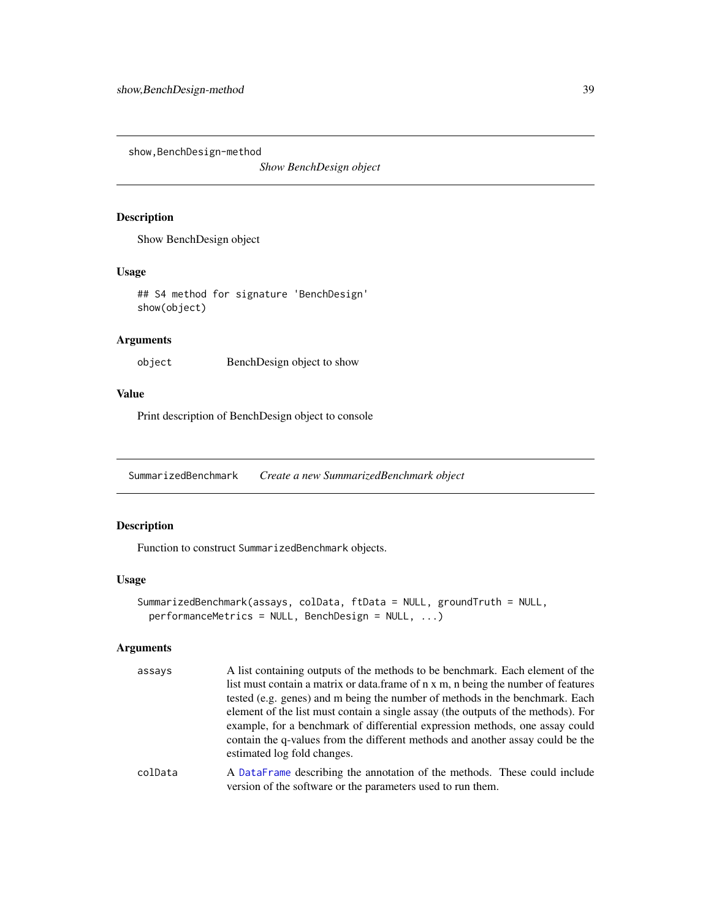<span id="page-38-0"></span>show, BenchDesign-method

*Show BenchDesign object*

## Description

Show BenchDesign object

#### Usage

## S4 method for signature 'BenchDesign' show(object)

## Arguments

object BenchDesign object to show

## Value

Print description of BenchDesign object to console

<span id="page-38-1"></span>SummarizedBenchmark *Create a new SummarizedBenchmark object*

## Description

Function to construct SummarizedBenchmark objects.

## Usage

```
SummarizedBenchmark(assays, colData, ftData = NULL, groundTruth = NULL,
 performanceMetrics = NULL, BenchDesign = NULL, ...)
```
#### Arguments

| assays                     | A list containing outputs of the methods to be benchmark. Each element of the     |
|----------------------------|-----------------------------------------------------------------------------------|
|                            | list must contain a matrix or data.frame of n x m, n being the number of features |
|                            | tested (e.g. genes) and m being the number of methods in the benchmark. Each      |
|                            | element of the list must contain a single assay (the outputs of the methods). For |
|                            | example, for a benchmark of differential expression methods, one assay could      |
|                            | contain the q-values from the different methods and another assay could be the    |
|                            | estimated log fold changes.                                                       |
| $\sim$ -JD $\sim$ + $\sim$ | A Dete Lugare describing the constation of the methods. These could include       |

colData A [DataFrame](#page-0-0) describing the annotation of the methods. These could include version of the software or the parameters used to run them.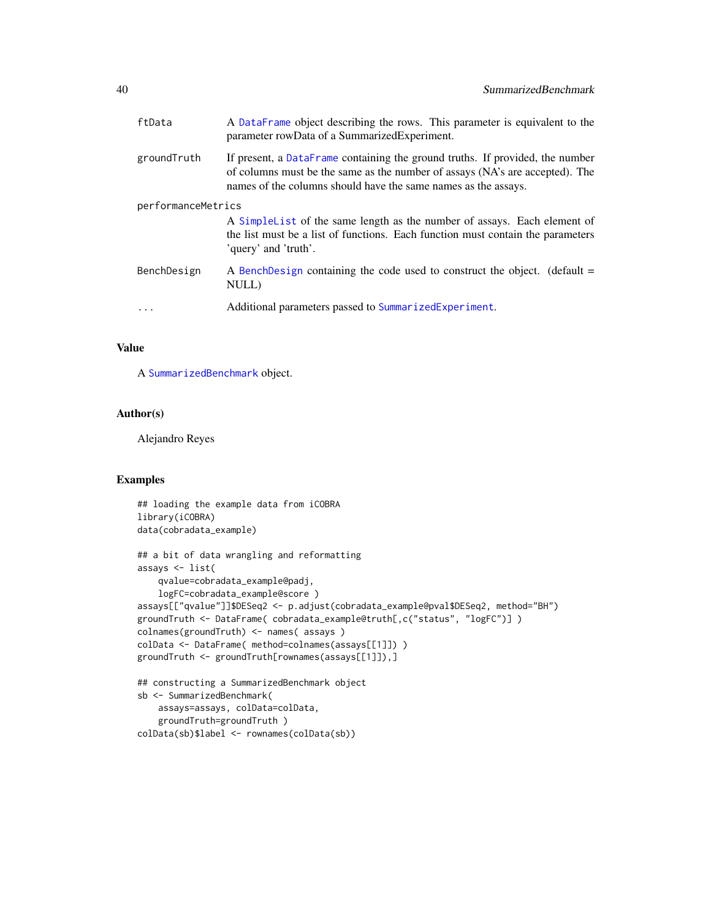<span id="page-39-0"></span>

| ftData             | A DataFrame object describing the rows. This parameter is equivalent to the<br>parameter rowData of a SummarizedExperiment.                                                                                                     |
|--------------------|---------------------------------------------------------------------------------------------------------------------------------------------------------------------------------------------------------------------------------|
| groundTruth        | If present, a DataFrame containing the ground truths. If provided, the number<br>of columns must be the same as the number of assays (NA's are accepted). The<br>names of the columns should have the same names as the assays. |
| performanceMetrics |                                                                                                                                                                                                                                 |
|                    | A Simple List of the same length as the number of assays. Each element of<br>the list must be a list of functions. Each function must contain the parameters<br>'query' and 'truth'.                                            |
| BenchDesign        | A BenchDesign containing the code used to construct the object. (default $=$<br>NULL)                                                                                                                                           |
|                    | Additional parameters passed to SummarizedExperiment.                                                                                                                                                                           |
|                    |                                                                                                                                                                                                                                 |

## Value

A [SummarizedBenchmark](#page-38-1) object.

## Author(s)

Alejandro Reyes

```
## loading the example data from iCOBRA
library(iCOBRA)
data(cobradata_example)
## a bit of data wrangling and reformatting
assays <- list(
   qvalue=cobradata_example@padj,
   logFC=cobradata_example@score )
assays[["qvalue"]]$DESeq2 <- p.adjust(cobradata_example@pval$DESeq2, method="BH")
groundTruth <- DataFrame( cobradata_example@truth[,c("status", "logFC")] )
colnames(groundTruth) <- names( assays )
colData <- DataFrame( method=colnames(assays[[1]]) )
groundTruth <- groundTruth[rownames(assays[[1]]),]
## constructing a SummarizedBenchmark object
sb <- SummarizedBenchmark(
   assays=assays, colData=colData,
   groundTruth=groundTruth )
colData(sb)$label <- rownames(colData(sb))
```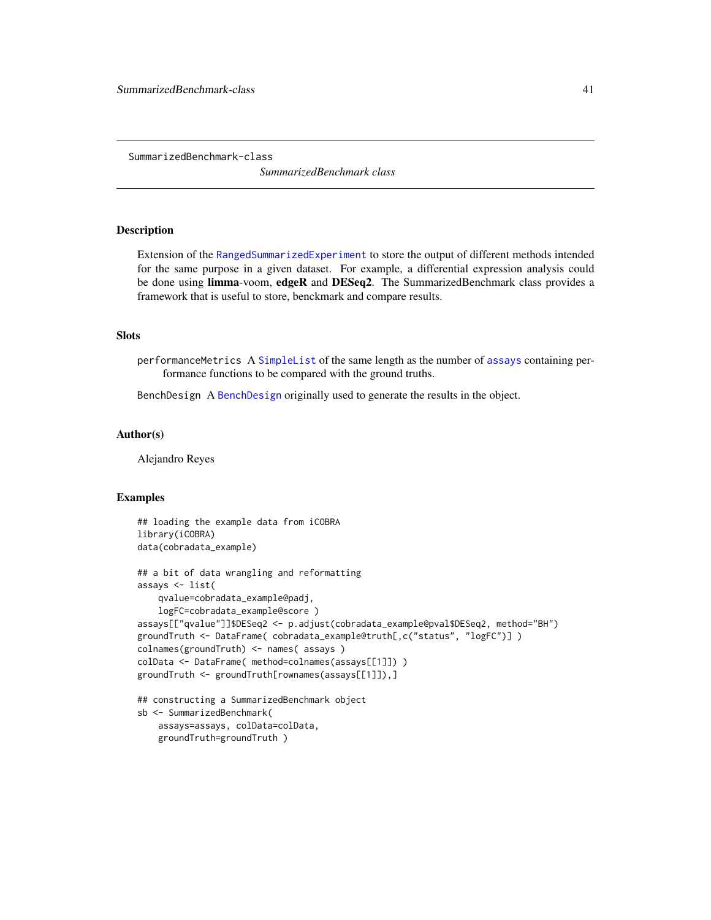<span id="page-40-1"></span><span id="page-40-0"></span>SummarizedBenchmark-class

*SummarizedBenchmark class*

## Description

Extension of the [RangedSummarizedExperiment](#page-0-0) to store the output of different methods intended for the same purpose in a given dataset. For example, a differential expression analysis could be done using limma-voom, edgeR and DESeq2. The SummarizedBenchmark class provides a framework that is useful to store, benckmark and compare results.

#### **Slots**

performanceMetrics A [SimpleList](#page-0-0) of the same length as the number of [assays](#page-0-0) containing performance functions to be compared with the ground truths.

BenchDesign A [BenchDesign](#page-16-1) originally used to generate the results in the object.

#### Author(s)

Alejandro Reyes

## Examples

```
## loading the example data from iCOBRA
library(iCOBRA)
data(cobradata_example)
## a bit of data wrangling and reformatting
assays <- list(
    qvalue=cobradata_example@padj,
   logFC=cobradata_example@score )
assays[["qvalue"]]$DESeq2 <- p.adjust(cobradata_example@pval$DESeq2, method="BH")
groundTruth <- DataFrame( cobradata_example@truth[,c("status", "logFC")] )
colnames(groundTruth) <- names( assays )
colData <- DataFrame( method=colnames(assays[[1]]) )
groundTruth <- groundTruth[rownames(assays[[1]]),]
## constructing a SummarizedBenchmark object
sb <- SummarizedBenchmark(
   assays=assays, colData=colData,
```
groundTruth=groundTruth )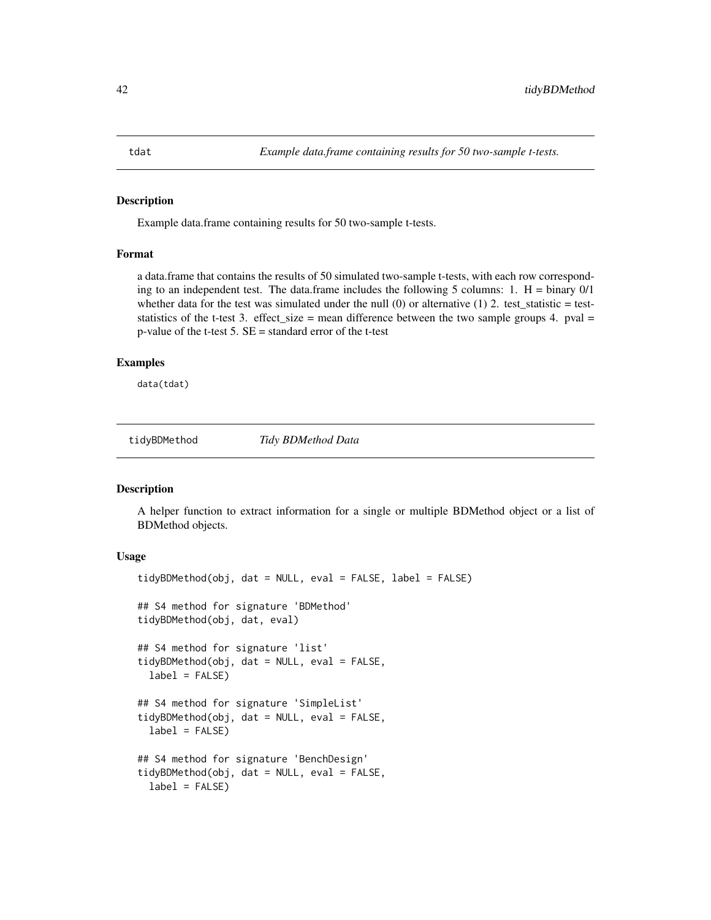<span id="page-41-0"></span>Example data.frame containing results for 50 two-sample t-tests.

## Format

a data.frame that contains the results of 50 simulated two-sample t-tests, with each row corresponding to an independent test. The data.frame includes the following 5 columns: 1.  $H = \text{binary } 0/1$ whether data for the test was simulated under the null  $(0)$  or alternative  $(1)$  2. test\_statistic = teststatistics of the t-test 3. effect\_size = mean difference between the two sample groups 4. pval = p-value of the t-test 5. SE = standard error of the t-test

## Examples

data(tdat)

tidyBDMethod *Tidy BDMethod Data*

#### Description

A helper function to extract information for a single or multiple BDMethod object or a list of BDMethod objects.

#### Usage

```
tidyBDMethod(obj, dat = NULL, eval = FALSE, label = FALSE)
## S4 method for signature 'BDMethod'
tidyBDMethod(obj, dat, eval)
## S4 method for signature 'list'
tidyBDMethod(obj, dat = NULL, eval = FALSE,
  label = FALSE## S4 method for signature 'SimpleList'
tidyBDMethod(obj, dat = NULL, eval = FALSE,label = FALSE## S4 method for signature 'BenchDesign'
tidyBDMethod(obj, dat = NULL, eval = FALSE,
  label = FALSE
```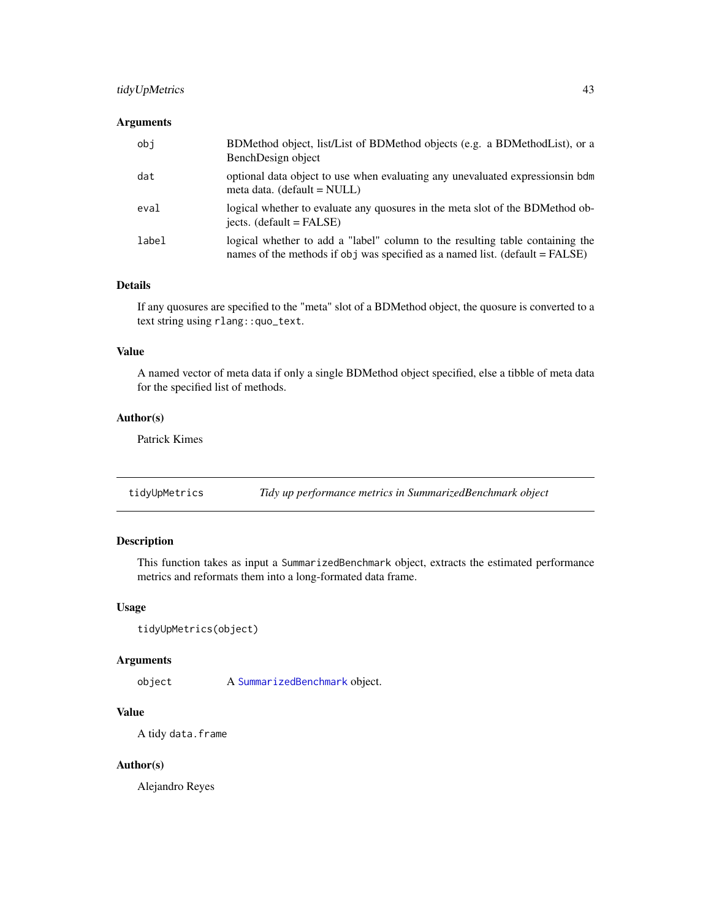## <span id="page-42-0"></span>tidyUpMetrics 43

## Arguments

| obi   | BDMethod object, list/List of BDMethod objects (e.g. a BDMethodList), or a<br>BenchDesign object                                                              |
|-------|---------------------------------------------------------------------------------------------------------------------------------------------------------------|
| dat   | optional data object to use when evaluating any unevaluated expressions in bdm<br>meta data. (default = NULL)                                                 |
| eval  | logical whether to evaluate any quosures in the meta slot of the BDMethod ob-<br>jects. $(default = FALSE)$                                                   |
| label | logical whether to add a "label" column to the resulting table containing the<br>names of the methods if obj was specified as a named list. (default = FALSE) |

#### Details

If any quosures are specified to the "meta" slot of a BDMethod object, the quosure is converted to a text string using rlang::quo\_text.

## Value

A named vector of meta data if only a single BDMethod object specified, else a tibble of meta data for the specified list of methods.

## Author(s)

Patrick Kimes

tidyUpMetrics *Tidy up performance metrics in SummarizedBenchmark object*

## Description

This function takes as input a SummarizedBenchmark object, extracts the estimated performance metrics and reformats them into a long-formated data frame.

## Usage

```
tidyUpMetrics(object)
```
## Arguments

object A [SummarizedBenchmark](#page-38-1) object.

## Value

A tidy data.frame

## Author(s)

Alejandro Reyes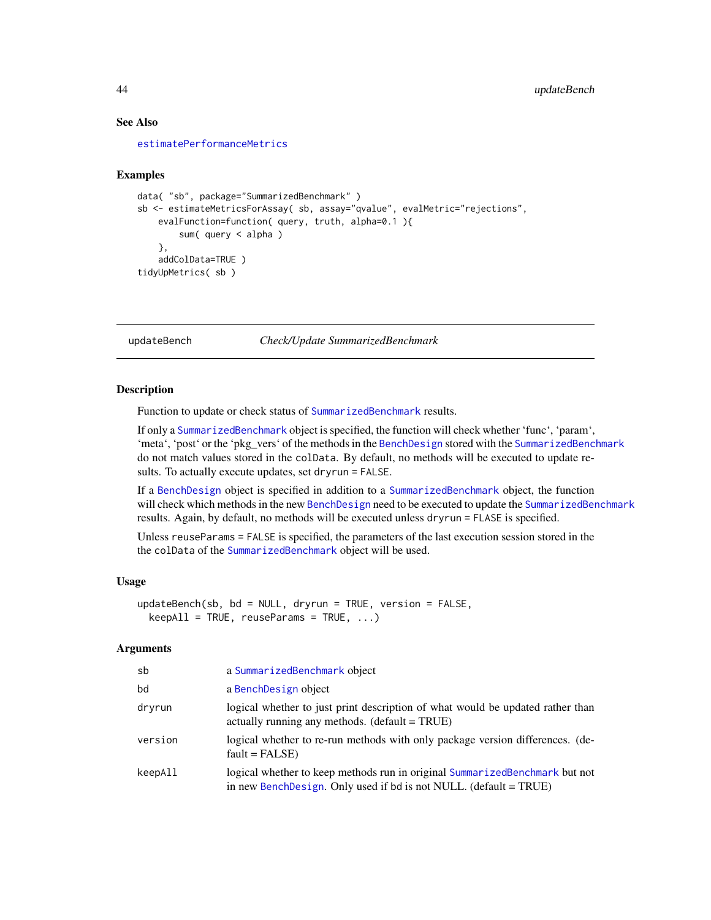## See Also

[estimatePerformanceMetrics](#page-24-1)

#### Examples

```
data( "sb", package="SummarizedBenchmark" )
sb <- estimateMetricsForAssay( sb, assay="qvalue", evalMetric="rejections",
    evalFunction=function( query, truth, alpha=0.1 ){
        sum( query < alpha )
    },
    addColData=TRUE )
tidyUpMetrics( sb )
```
<span id="page-43-1"></span>

updateBench *Check/Update SummarizedBenchmark*

#### Description

Function to update or check status of [SummarizedBenchmark](#page-40-1) results.

If only a [SummarizedBenchmark](#page-40-1) object is specified, the function will check whether 'func', 'param', 'meta', 'post' or the 'pkg\_vers' of the methods in the [BenchDesign](#page-17-1) stored with the [SummarizedBenchmark](#page-40-1) do not match values stored in the colData. By default, no methods will be executed to update results. To actually execute updates, set dryrun = FALSE.

If a [BenchDesign](#page-17-1) object is specified in addition to a [SummarizedBenchmark](#page-40-1) object, the function will check which methods in the new [BenchDesign](#page-17-1) need to be executed to update the [SummarizedBenchmark](#page-40-1) results. Again, by default, no methods will be executed unless dryrun = FLASE is specified.

Unless reuseParams = FALSE is specified, the parameters of the last execution session stored in the the colData of the [SummarizedBenchmark](#page-40-1) object will be used.

#### Usage

```
updateBench(sb, bd = NULL, dryrun = TRUE, version = FALSE,
  keepAll = TRUE, reuseParameters = TRUE, ...)
```
### Arguments

| sb      | a SummarizedBenchmark object                                                                                                                     |
|---------|--------------------------------------------------------------------------------------------------------------------------------------------------|
| bd      | a BenchDesign object                                                                                                                             |
| dryrun  | logical whether to just print description of what would be updated rather than<br>actually running any methods. (default = TRUE)                 |
| version | logical whether to re-run methods with only package version differences. (de-<br>$fault = FALSE)$                                                |
| keepAll | logical whether to keep methods run in original SummarizedBenchmark but not<br>in new BenchDesign. Only used if bd is not NULL. (default = TRUE) |

<span id="page-43-0"></span>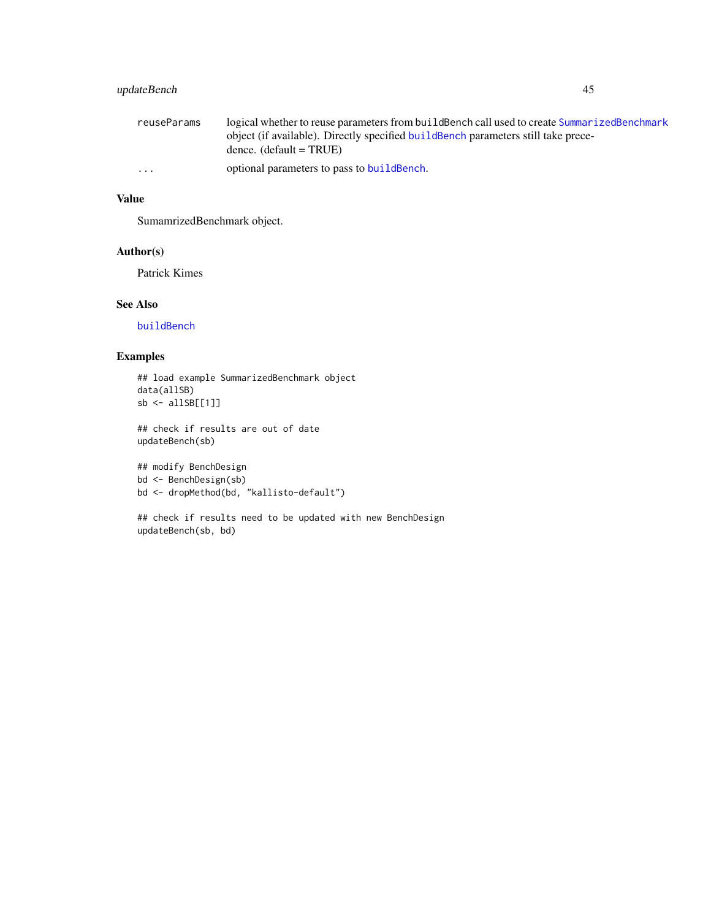## <span id="page-44-0"></span>updateBench 45

| reuseParams | logical whether to reuse parameters from build Bench call used to create Summarized Benchmark |
|-------------|-----------------------------------------------------------------------------------------------|
|             | object (if available). Directly specified build Bench parameters still take prece-            |
|             | dence. $(\text{default} = \text{TRUE})$                                                       |
| $\cdot$     | optional parameters to pass to build Bench.                                                   |

## Value

SumamrizedBenchmark object.

#### Author(s)

Patrick Kimes

## See Also

[buildBench](#page-18-1)

## Examples

```
## load example SummarizedBenchmark object
data(allSB)
sb <- allSB[[1]]
```
## check if results are out of date updateBench(sb)

```
## modify BenchDesign
bd <- BenchDesign(sb)
bd <- dropMethod(bd, "kallisto-default")
```

```
## check if results need to be updated with new BenchDesign
updateBench(sb, bd)
```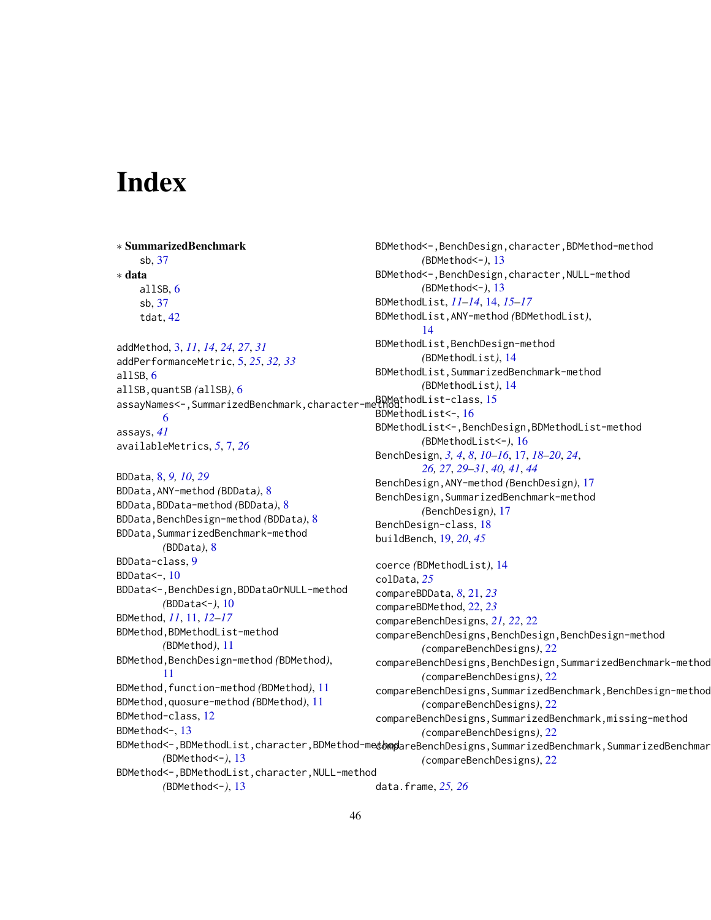# <span id="page-45-0"></span>Index

∗ SummarizedBenchmark sb, [37](#page-36-0) ∗ data allSB, [6](#page-5-0) sb, [37](#page-36-0) tdat, [42](#page-41-0) addMethod, [3,](#page-2-0) *[11](#page-10-0)*, *[14](#page-13-0)*, *[24](#page-23-0)*, *[27](#page-26-0)*, *[31](#page-30-0)* addPerformanceMetric, [5,](#page-4-0) *[25](#page-24-0)*, *[32,](#page-31-0) [33](#page-32-0)* allSB, [6](#page-5-0) allSB,quantSB *(*allSB*)*, [6](#page-5-0) assayNames<-,SummarizedBenchmark,character-method, ist-class, [15](#page-14-0) [6](#page-5-0) assays, *[41](#page-40-0)* availableMetrics, *[5](#page-4-0)*, [7,](#page-6-0) *[26](#page-25-0)* BDData, [8,](#page-7-0) *[9,](#page-8-0) [10](#page-9-0)*, *[29](#page-28-0)* BDData,ANY-method *(*BDData*)*, [8](#page-7-0) BDData,BDData-method *(*BDData*)*, [8](#page-7-0) BDData,BenchDesign-method *(*BDData*)*, [8](#page-7-0) BDData,SummarizedBenchmark-method *(*BDData*)*, [8](#page-7-0) BDData-class, [9](#page-8-0) BDData<-, [10](#page-9-0) BDData<-,BenchDesign,BDDataOrNULL-method *(*BDData<-*)*, [10](#page-9-0) BDMethod, *[11](#page-10-0)*, [11,](#page-10-0) *[12](#page-11-0)[–17](#page-16-0)* BDMethod,BDMethodList-method *(*BDMethod*)*, [11](#page-10-0) BDMethod,BenchDesign-method *(*BDMethod*)*, [11](#page-10-0) BDMethod,function-method *(*BDMethod*)*, [11](#page-10-0) BDMethod,quosure-method *(*BDMethod*)*, [11](#page-10-0) BDMethod-class, [12](#page-11-0) BDMethod<-, [13](#page-12-0)

BDMethod<-,BenchDesign,character,BDMethod-method *(*BDMethod<-*)*, [13](#page-12-0) BDMethod<-,BenchDesign,character,NULL-method *(*BDMethod<-*)*, [13](#page-12-0) BDMethodList, *[11](#page-10-0)[–14](#page-13-0)*, [14,](#page-13-0) *[15](#page-14-0)[–17](#page-16-0)* BDMethodList,ANY-method *(*BDMethodList*)*, [14](#page-13-0) BDMethodList,BenchDesign-method *(*BDMethodList*)*, [14](#page-13-0) BDMethodList,SummarizedBenchmark-method *(*BDMethodList*)*, [14](#page-13-0) BDMethodList<-, [16](#page-15-0) BDMethodList<-,BenchDesign,BDMethodList-method *(*BDMethodList<-*)*, [16](#page-15-0) BenchDesign, *[3,](#page-2-0) [4](#page-3-0)*, *[8](#page-7-0)*, *[10](#page-9-0)[–16](#page-15-0)*, [17,](#page-16-0) *[18](#page-17-0)[–20](#page-19-0)*, *[24](#page-23-0)*, *[26,](#page-25-0) [27](#page-26-0)*, *[29](#page-28-0)[–31](#page-30-0)*, *[40,](#page-39-0) [41](#page-40-0)*, *[44](#page-43-0)* BenchDesign,ANY-method *(*BenchDesign*)*, [17](#page-16-0) BenchDesign,SummarizedBenchmark-method *(*BenchDesign*)*, [17](#page-16-0) BenchDesign-class, [18](#page-17-0) buildBench, [19,](#page-18-0) *[20](#page-19-0)*, *[45](#page-44-0)* coerce *(*BDMethodList*)*, [14](#page-13-0) colData, *[25](#page-24-0)*

BDMethod<-,BDMethodList,character,BDMethod-me<del>t<code>b</code>mpareBenchDesigns,SummarizedBenchmark,SummarizedBenchmar</del> *(*BDMethod<-*)*, [13](#page-12-0) BDMethod<-,BDMethodList,character,NULL-method *(*BDMethod<-*)*, [13](#page-12-0) compareBDData, *[8](#page-7-0)*, [21,](#page-20-0) *[23](#page-22-0)* compareBDMethod, [22,](#page-21-0) *[23](#page-22-0)* compareBenchDesigns, *[21,](#page-20-0) [22](#page-21-0)*, [22](#page-21-0) compareBenchDesigns,BenchDesign,BenchDesign-method *(*compareBenchDesigns*)*, [22](#page-21-0) compareBenchDesigns,BenchDesign,SummarizedBenchmark-method *(*compareBenchDesigns*)*, [22](#page-21-0) compareBenchDesigns,SummarizedBenchmark,BenchDesign-method *(*compareBenchDesigns*)*, [22](#page-21-0) compareBenchDesigns,SummarizedBenchmark,missing-method *(*compareBenchDesigns*)*, [22](#page-21-0) *(*compareBenchDesigns*)*, [22](#page-21-0) data.frame, *[25,](#page-24-0) [26](#page-25-0)*